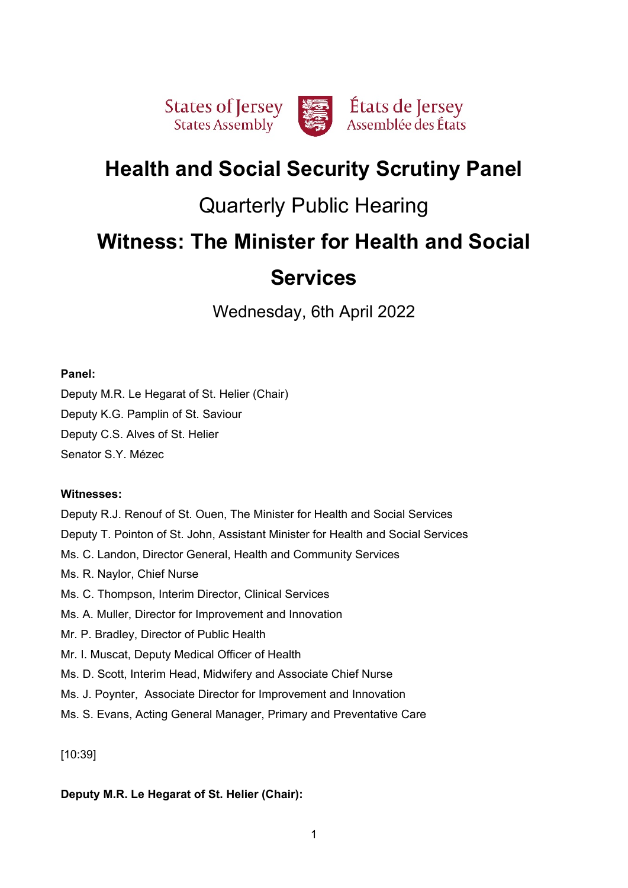

# **Health and Social Security Scrutiny Panel**

# Quarterly Public Hearing

# **Witness: The Minister for Health and Social**

# **Services**

Wednesday, 6th April 2022

# **Panel:**

Deputy M.R. Le Hegarat of St. Helier (Chair) Deputy K.G. Pamplin of St. Saviour Deputy C.S. Alves of St. Helier Senator S.Y. Mézec

# **Witnesses:**

Deputy R.J. Renouf of St. Ouen, The Minister for Health and Social Services Deputy T. Pointon of St. John, Assistant Minister for Health and Social Services Ms. C. Landon, Director General, Health and Community Services Ms. R. Naylor, Chief Nurse Ms. C. Thompson, Interim Director, Clinical Services Ms. A. Muller, Director for Improvement and Innovation Mr. P. Bradley, Director of Public Health Mr. I. Muscat, Deputy Medical Officer of Health Ms. D. Scott, Interim Head, Midwifery and Associate Chief Nurse Ms. J. Poynter, Associate Director for Improvement and Innovation Ms. S. Evans, Acting General Manager, Primary and Preventative Care

[10:39]

# **Deputy M.R. Le Hegarat of St. Helier (Chair):**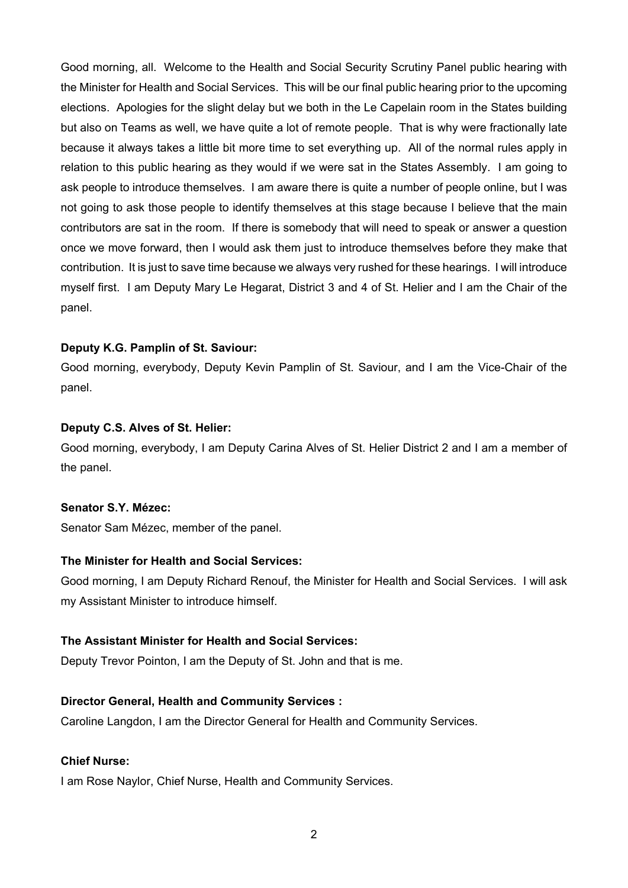Good morning, all. Welcome to the Health and Social Security Scrutiny Panel public hearing with the Minister for Health and Social Services. This will be our final public hearing prior to the upcoming elections. Apologies for the slight delay but we both in the Le Capelain room in the States building but also on Teams as well, we have quite a lot of remote people. That is why were fractionally late because it always takes a little bit more time to set everything up. All of the normal rules apply in relation to this public hearing as they would if we were sat in the States Assembly. I am going to ask people to introduce themselves. I am aware there is quite a number of people online, but I was not going to ask those people to identify themselves at this stage because I believe that the main contributors are sat in the room. If there is somebody that will need to speak or answer a question once we move forward, then I would ask them just to introduce themselves before they make that contribution. It is just to save time because we always very rushed for these hearings. I will introduce myself first. I am Deputy Mary Le Hegarat, District 3 and 4 of St. Helier and I am the Chair of the panel.

## **Deputy K.G. Pamplin of St. Saviour:**

Good morning, everybody, Deputy Kevin Pamplin of St. Saviour, and I am the Vice-Chair of the panel.

## **Deputy C.S. Alves of St. Helier:**

Good morning, everybody, I am Deputy Carina Alves of St. Helier District 2 and I am a member of the panel.

#### **Senator S.Y. Mézec:**

Senator Sam Mézec, member of the panel.

# **The Minister for Health and Social Services:**

Good morning, I am Deputy Richard Renouf, the Minister for Health and Social Services. I will ask my Assistant Minister to introduce himself.

# **The Assistant Minister for Health and Social Services:**

Deputy Trevor Pointon, I am the Deputy of St. John and that is me.

#### **Director General, Health and Community Services :**

Caroline Langdon, I am the Director General for Health and Community Services.

#### **Chief Nurse:**

I am Rose Naylor, Chief Nurse, Health and Community Services.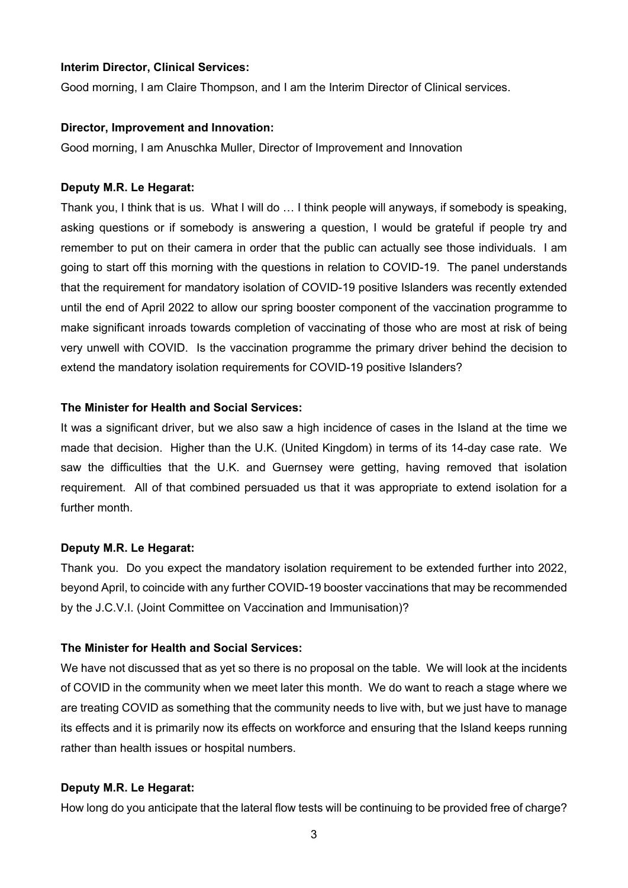# **Interim Director, Clinical Services:**

Good morning, I am Claire Thompson, and I am the Interim Director of Clinical services.

#### **Director, Improvement and Innovation:**

Good morning, I am Anuschka Muller, Director of Improvement and Innovation

#### **Deputy M.R. Le Hegarat:**

Thank you, I think that is us. What I will do … I think people will anyways, if somebody is speaking, asking questions or if somebody is answering a question, I would be grateful if people try and remember to put on their camera in order that the public can actually see those individuals. I am going to start off this morning with the questions in relation to COVID-19. The panel understands that the requirement for mandatory isolation of COVID-19 positive Islanders was recently extended until the end of April 2022 to allow our spring booster component of the vaccination programme to make significant inroads towards completion of vaccinating of those who are most at risk of being very unwell with COVID. Is the vaccination programme the primary driver behind the decision to extend the mandatory isolation requirements for COVID-19 positive Islanders?

#### **The Minister for Health and Social Services:**

It was a significant driver, but we also saw a high incidence of cases in the Island at the time we made that decision. Higher than the U.K. (United Kingdom) in terms of its 14-day case rate. We saw the difficulties that the U.K. and Guernsey were getting, having removed that isolation requirement. All of that combined persuaded us that it was appropriate to extend isolation for a further month.

#### **Deputy M.R. Le Hegarat:**

Thank you. Do you expect the mandatory isolation requirement to be extended further into 2022, beyond April, to coincide with any further COVID-19 booster vaccinations that may be recommended by the J.C.V.I. (Joint Committee on Vaccination and Immunisation)?

#### **The Minister for Health and Social Services:**

We have not discussed that as yet so there is no proposal on the table. We will look at the incidents of COVID in the community when we meet later this month. We do want to reach a stage where we are treating COVID as something that the community needs to live with, but we just have to manage its effects and it is primarily now its effects on workforce and ensuring that the Island keeps running rather than health issues or hospital numbers.

#### **Deputy M.R. Le Hegarat:**

How long do you anticipate that the lateral flow tests will be continuing to be provided free of charge?

3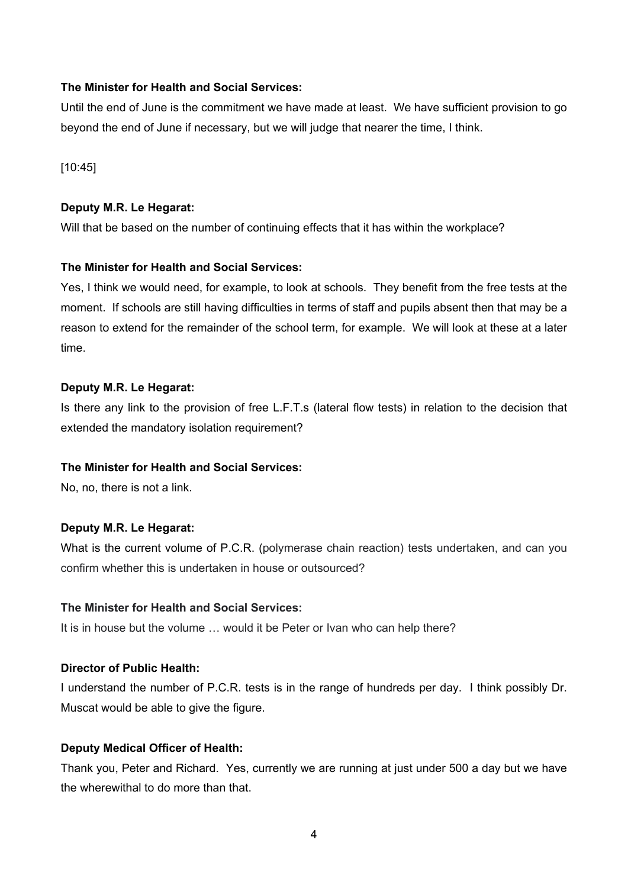# **The Minister for Health and Social Services:**

Until the end of June is the commitment we have made at least. We have sufficient provision to go beyond the end of June if necessary, but we will judge that nearer the time, I think.

[10:45]

# **Deputy M.R. Le Hegarat:**

Will that be based on the number of continuing effects that it has within the workplace?

## **The Minister for Health and Social Services:**

Yes, I think we would need, for example, to look at schools. They benefit from the free tests at the moment. If schools are still having difficulties in terms of staff and pupils absent then that may be a reason to extend for the remainder of the school term, for example. We will look at these at a later time.

## **Deputy M.R. Le Hegarat:**

Is there any link to the provision of free L.F.T.s (lateral flow tests) in relation to the decision that extended the mandatory isolation requirement?

# **The Minister for Health and Social Services:**

No, no, there is not a link.

# **Deputy M.R. Le Hegarat:**

What is the current volume of P.C.R. (polymerase chain reaction) tests undertaken, and can you confirm whether this is undertaken in house or outsourced?

## **The Minister for Health and Social Services:**

It is in house but the volume … would it be Peter or Ivan who can help there?

# **Director of Public Health:**

I understand the number of P.C.R. tests is in the range of hundreds per day. I think possibly Dr. Muscat would be able to give the figure.

# **Deputy Medical Officer of Health:**

Thank you, Peter and Richard. Yes, currently we are running at just under 500 a day but we have the wherewithal to do more than that.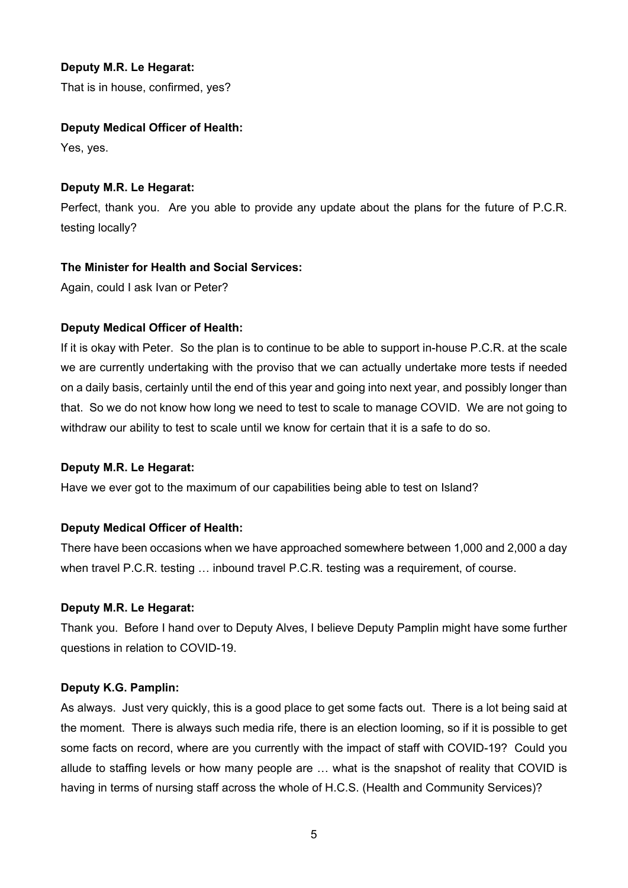# **Deputy M.R. Le Hegarat:**

That is in house, confirmed, yes?

# **Deputy Medical Officer of Health:**

Yes, yes.

# **Deputy M.R. Le Hegarat:**

Perfect, thank you. Are you able to provide any update about the plans for the future of P.C.R. testing locally?

# **The Minister for Health and Social Services:**

Again, could I ask Ivan or Peter?

# **Deputy Medical Officer of Health:**

If it is okay with Peter. So the plan is to continue to be able to support in-house P.C.R. at the scale we are currently undertaking with the proviso that we can actually undertake more tests if needed on a daily basis, certainly until the end of this year and going into next year, and possibly longer than that. So we do not know how long we need to test to scale to manage COVID. We are not going to withdraw our ability to test to scale until we know for certain that it is a safe to do so.

# **Deputy M.R. Le Hegarat:**

Have we ever got to the maximum of our capabilities being able to test on Island?

# **Deputy Medical Officer of Health:**

There have been occasions when we have approached somewhere between 1,000 and 2,000 a day when travel P.C.R. testing … inbound travel P.C.R. testing was a requirement, of course.

# **Deputy M.R. Le Hegarat:**

Thank you. Before I hand over to Deputy Alves, I believe Deputy Pamplin might have some further questions in relation to COVID-19.

# **Deputy K.G. Pamplin:**

As always. Just very quickly, this is a good place to get some facts out. There is a lot being said at the moment. There is always such media rife, there is an election looming, so if it is possible to get some facts on record, where are you currently with the impact of staff with COVID-19? Could you allude to staffing levels or how many people are … what is the snapshot of reality that COVID is having in terms of nursing staff across the whole of H.C.S. (Health and Community Services)?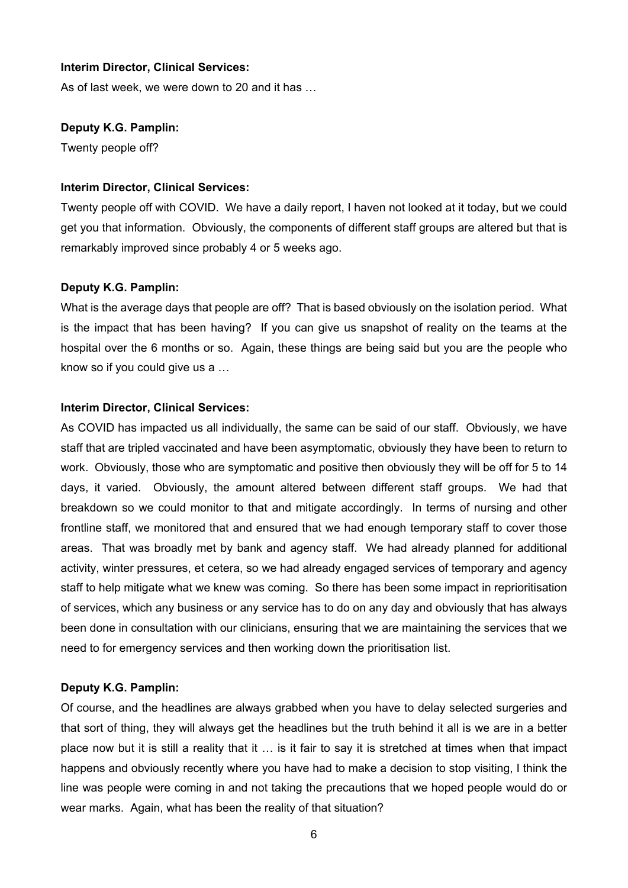# **Interim Director, Clinical Services:**

As of last week, we were down to 20 and it has …

#### **Deputy K.G. Pamplin:**

Twenty people off?

#### **Interim Director, Clinical Services:**

Twenty people off with COVID. We have a daily report, I haven not looked at it today, but we could get you that information. Obviously, the components of different staff groups are altered but that is remarkably improved since probably 4 or 5 weeks ago.

#### **Deputy K.G. Pamplin:**

What is the average days that people are off? That is based obviously on the isolation period. What is the impact that has been having? If you can give us snapshot of reality on the teams at the hospital over the 6 months or so. Again, these things are being said but you are the people who know so if you could give us a …

#### **Interim Director, Clinical Services:**

As COVID has impacted us all individually, the same can be said of our staff. Obviously, we have staff that are tripled vaccinated and have been asymptomatic, obviously they have been to return to work. Obviously, those who are symptomatic and positive then obviously they will be off for 5 to 14 days, it varied. Obviously, the amount altered between different staff groups. We had that breakdown so we could monitor to that and mitigate accordingly. In terms of nursing and other frontline staff, we monitored that and ensured that we had enough temporary staff to cover those areas. That was broadly met by bank and agency staff. We had already planned for additional activity, winter pressures, et cetera, so we had already engaged services of temporary and agency staff to help mitigate what we knew was coming. So there has been some impact in reprioritisation of services, which any business or any service has to do on any day and obviously that has always been done in consultation with our clinicians, ensuring that we are maintaining the services that we need to for emergency services and then working down the prioritisation list.

#### **Deputy K.G. Pamplin:**

Of course, and the headlines are always grabbed when you have to delay selected surgeries and that sort of thing, they will always get the headlines but the truth behind it all is we are in a better place now but it is still a reality that it … is it fair to say it is stretched at times when that impact happens and obviously recently where you have had to make a decision to stop visiting, I think the line was people were coming in and not taking the precautions that we hoped people would do or wear marks. Again, what has been the reality of that situation?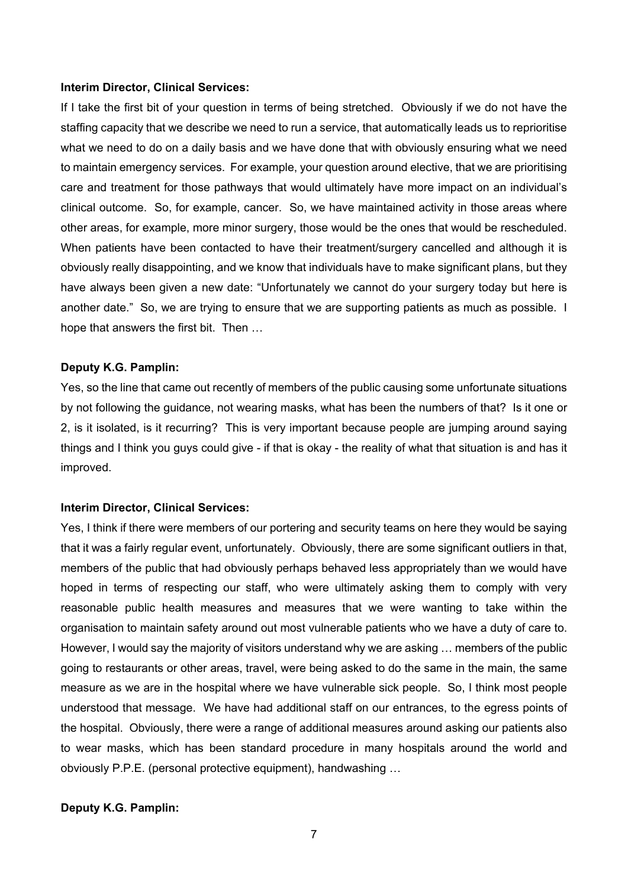#### **Interim Director, Clinical Services:**

If I take the first bit of your question in terms of being stretched. Obviously if we do not have the staffing capacity that we describe we need to run a service, that automatically leads us to reprioritise what we need to do on a daily basis and we have done that with obviously ensuring what we need to maintain emergency services. For example, your question around elective, that we are prioritising care and treatment for those pathways that would ultimately have more impact on an individual's clinical outcome. So, for example, cancer. So, we have maintained activity in those areas where other areas, for example, more minor surgery, those would be the ones that would be rescheduled. When patients have been contacted to have their treatment/surgery cancelled and although it is obviously really disappointing, and we know that individuals have to make significant plans, but they have always been given a new date: "Unfortunately we cannot do your surgery today but here is another date." So, we are trying to ensure that we are supporting patients as much as possible. I hope that answers the first bit. Then …

#### **Deputy K.G. Pamplin:**

Yes, so the line that came out recently of members of the public causing some unfortunate situations by not following the guidance, not wearing masks, what has been the numbers of that? Is it one or 2, is it isolated, is it recurring? This is very important because people are jumping around saying things and I think you guys could give - if that is okay - the reality of what that situation is and has it improved.

#### **Interim Director, Clinical Services:**

Yes, I think if there were members of our portering and security teams on here they would be saying that it was a fairly regular event, unfortunately. Obviously, there are some significant outliers in that, members of the public that had obviously perhaps behaved less appropriately than we would have hoped in terms of respecting our staff, who were ultimately asking them to comply with very reasonable public health measures and measures that we were wanting to take within the organisation to maintain safety around out most vulnerable patients who we have a duty of care to. However, I would say the majority of visitors understand why we are asking … members of the public going to restaurants or other areas, travel, were being asked to do the same in the main, the same measure as we are in the hospital where we have vulnerable sick people. So, I think most people understood that message. We have had additional staff on our entrances, to the egress points of the hospital. Obviously, there were a range of additional measures around asking our patients also to wear masks, which has been standard procedure in many hospitals around the world and obviously P.P.E. (personal protective equipment), handwashing …

#### **Deputy K.G. Pamplin:**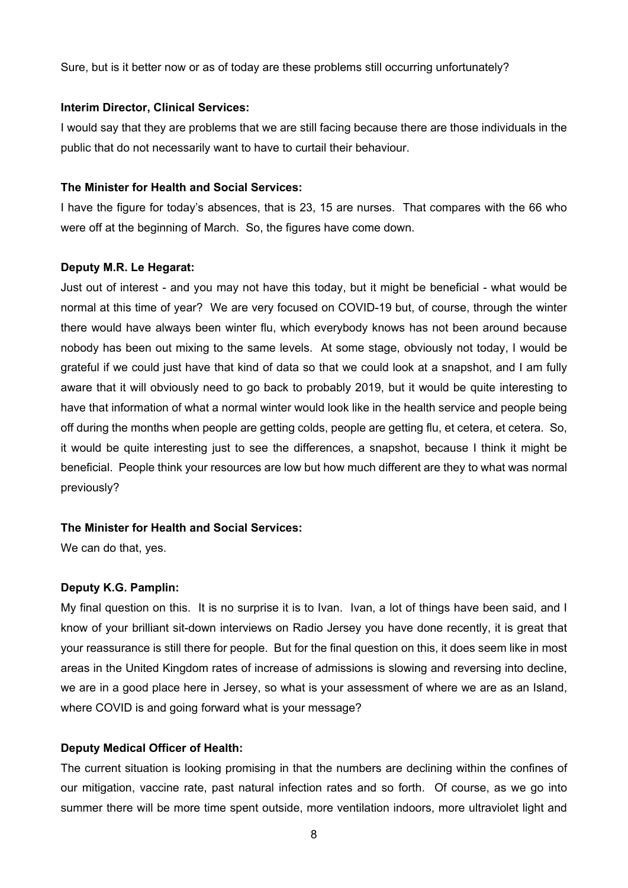Sure, but is it better now or as of today are these problems still occurring unfortunately?

## **Interim Director, Clinical Services:**

I would say that they are problems that we are still facing because there are those individuals in the public that do not necessarily want to have to curtail their behaviour.

## **The Minister for Health and Social Services:**

I have the figure for today's absences, that is 23, 15 are nurses. That compares with the 66 who were off at the beginning of March. So, the figures have come down.

## **Deputy M.R. Le Hegarat:**

Just out of interest - and you may not have this today, but it might be beneficial - what would be normal at this time of year? We are very focused on COVID-19 but, of course, through the winter there would have always been winter flu, which everybody knows has not been around because nobody has been out mixing to the same levels. At some stage, obviously not today, I would be grateful if we could just have that kind of data so that we could look at a snapshot, and I am fully aware that it will obviously need to go back to probably 2019, but it would be quite interesting to have that information of what a normal winter would look like in the health service and people being off during the months when people are getting colds, people are getting flu, et cetera, et cetera. So, it would be quite interesting just to see the differences, a snapshot, because I think it might be beneficial. People think your resources are low but how much different are they to what was normal previously?

# **The Minister for Health and Social Services:**

We can do that, yes.

# **Deputy K.G. Pamplin:**

My final question on this. It is no surprise it is to Ivan. Ivan, a lot of things have been said, and I know of your brilliant sit-down interviews on Radio Jersey you have done recently, it is great that your reassurance is still there for people. But for the final question on this, it does seem like in most areas in the United Kingdom rates of increase of admissions is slowing and reversing into decline, we are in a good place here in Jersey, so what is your assessment of where we are as an Island, where COVID is and going forward what is your message?

# **Deputy Medical Officer of Health:**

The current situation is looking promising in that the numbers are declining within the confines of our mitigation, vaccine rate, past natural infection rates and so forth. Of course, as we go into summer there will be more time spent outside, more ventilation indoors, more ultraviolet light and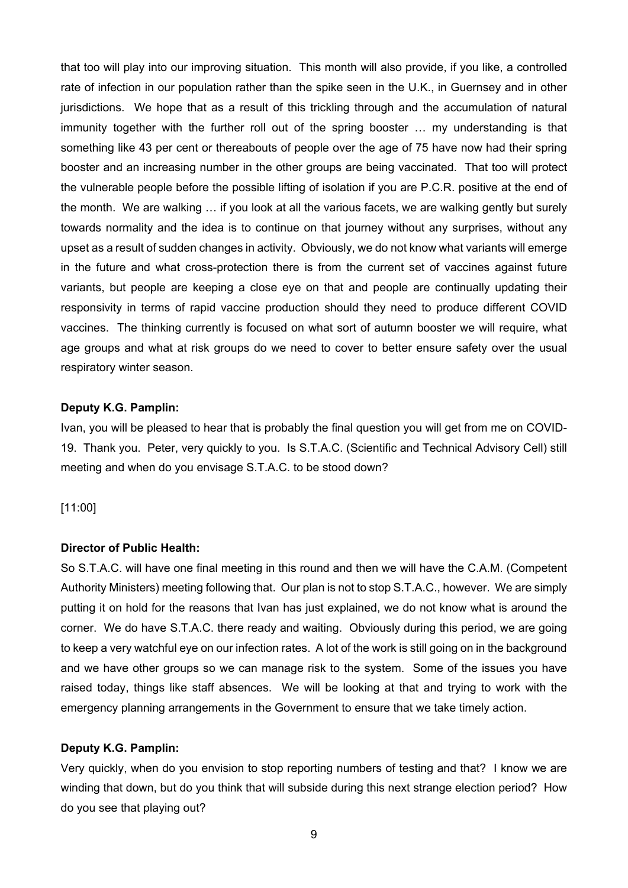that too will play into our improving situation. This month will also provide, if you like, a controlled rate of infection in our population rather than the spike seen in the U.K., in Guernsey and in other jurisdictions. We hope that as a result of this trickling through and the accumulation of natural immunity together with the further roll out of the spring booster … my understanding is that something like 43 per cent or thereabouts of people over the age of 75 have now had their spring booster and an increasing number in the other groups are being vaccinated. That too will protect the vulnerable people before the possible lifting of isolation if you are P.C.R. positive at the end of the month. We are walking … if you look at all the various facets, we are walking gently but surely towards normality and the idea is to continue on that journey without any surprises, without any upset as a result of sudden changes in activity. Obviously, we do not know what variants will emerge in the future and what cross-protection there is from the current set of vaccines against future variants, but people are keeping a close eye on that and people are continually updating their responsivity in terms of rapid vaccine production should they need to produce different COVID vaccines. The thinking currently is focused on what sort of autumn booster we will require, what age groups and what at risk groups do we need to cover to better ensure safety over the usual respiratory winter season.

#### **Deputy K.G. Pamplin:**

Ivan, you will be pleased to hear that is probably the final question you will get from me on COVID-19. Thank you. Peter, very quickly to you. Is S.T.A.C. (Scientific and Technical Advisory Cell) still meeting and when do you envisage S.T.A.C. to be stood down?

## [11:00]

#### **Director of Public Health:**

So S.T.A.C. will have one final meeting in this round and then we will have the C.A.M. (Competent Authority Ministers) meeting following that. Our plan is not to stop S.T.A.C., however. We are simply putting it on hold for the reasons that Ivan has just explained, we do not know what is around the corner. We do have S.T.A.C. there ready and waiting. Obviously during this period, we are going to keep a very watchful eye on our infection rates. A lot of the work is still going on in the background and we have other groups so we can manage risk to the system. Some of the issues you have raised today, things like staff absences. We will be looking at that and trying to work with the emergency planning arrangements in the Government to ensure that we take timely action.

#### **Deputy K.G. Pamplin:**

Very quickly, when do you envision to stop reporting numbers of testing and that? I know we are winding that down, but do you think that will subside during this next strange election period? How do you see that playing out?

9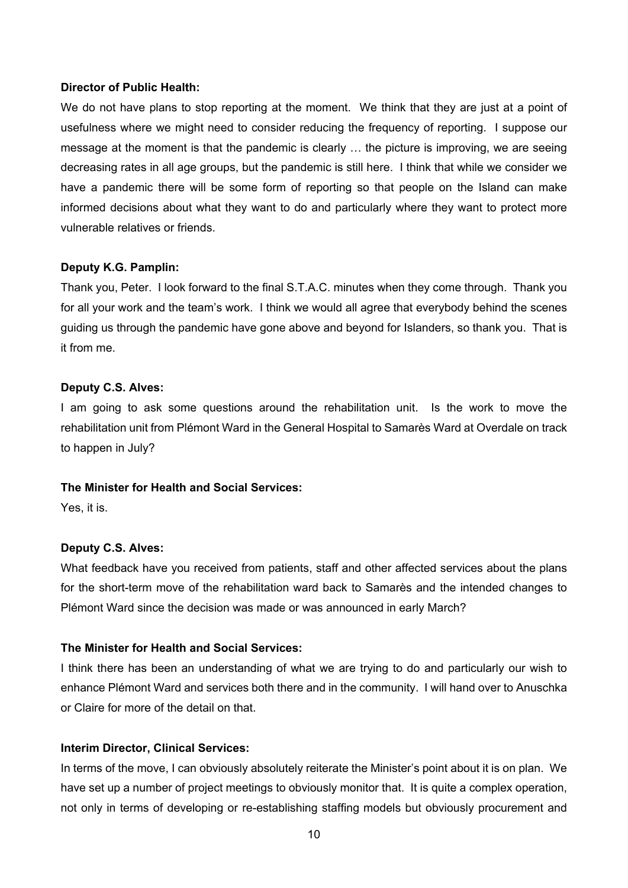#### **Director of Public Health:**

We do not have plans to stop reporting at the moment. We think that they are just at a point of usefulness where we might need to consider reducing the frequency of reporting. I suppose our message at the moment is that the pandemic is clearly … the picture is improving, we are seeing decreasing rates in all age groups, but the pandemic is still here. I think that while we consider we have a pandemic there will be some form of reporting so that people on the Island can make informed decisions about what they want to do and particularly where they want to protect more vulnerable relatives or friends.

#### **Deputy K.G. Pamplin:**

Thank you, Peter. I look forward to the final S.T.A.C. minutes when they come through. Thank you for all your work and the team's work. I think we would all agree that everybody behind the scenes guiding us through the pandemic have gone above and beyond for Islanders, so thank you. That is it from me.

## **Deputy C.S. Alves:**

I am going to ask some questions around the rehabilitation unit. Is the work to move the rehabilitation unit from Plémont Ward in the General Hospital to Samarès Ward at Overdale on track to happen in July?

#### **The Minister for Health and Social Services:**

Yes, it is.

## **Deputy C.S. Alves:**

What feedback have you received from patients, staff and other affected services about the plans for the short-term move of the rehabilitation ward back to Samarès and the intended changes to Plémont Ward since the decision was made or was announced in early March?

# **The Minister for Health and Social Services:**

I think there has been an understanding of what we are trying to do and particularly our wish to enhance Plémont Ward and services both there and in the community. I will hand over to Anuschka or Claire for more of the detail on that.

### **Interim Director, Clinical Services:**

In terms of the move, I can obviously absolutely reiterate the Minister's point about it is on plan. We have set up a number of project meetings to obviously monitor that. It is quite a complex operation, not only in terms of developing or re-establishing staffing models but obviously procurement and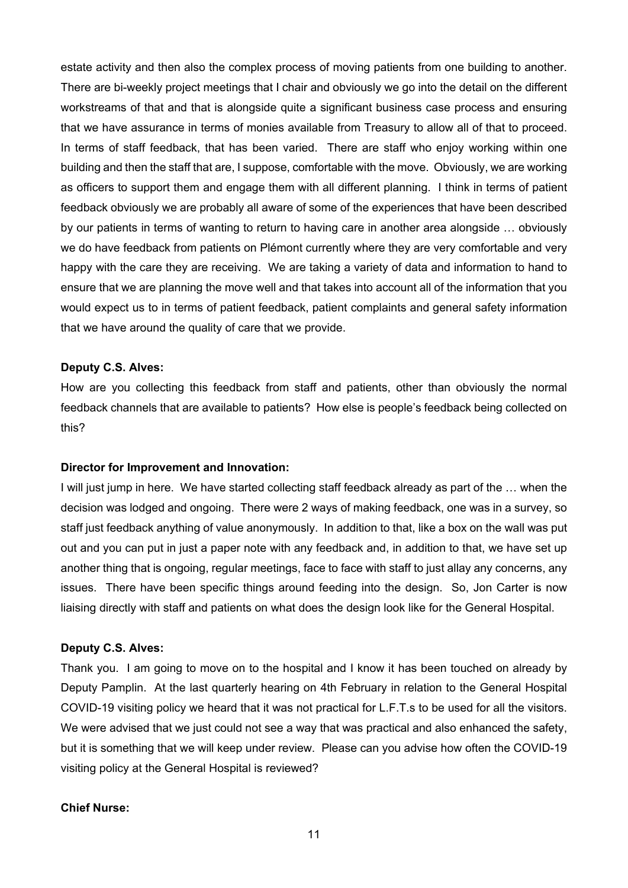estate activity and then also the complex process of moving patients from one building to another. There are bi-weekly project meetings that I chair and obviously we go into the detail on the different workstreams of that and that is alongside quite a significant business case process and ensuring that we have assurance in terms of monies available from Treasury to allow all of that to proceed. In terms of staff feedback, that has been varied. There are staff who enjoy working within one building and then the staff that are, I suppose, comfortable with the move. Obviously, we are working as officers to support them and engage them with all different planning. I think in terms of patient feedback obviously we are probably all aware of some of the experiences that have been described by our patients in terms of wanting to return to having care in another area alongside … obviously we do have feedback from patients on Plémont currently where they are very comfortable and very happy with the care they are receiving. We are taking a variety of data and information to hand to ensure that we are planning the move well and that takes into account all of the information that you would expect us to in terms of patient feedback, patient complaints and general safety information that we have around the quality of care that we provide.

#### **Deputy C.S. Alves:**

How are you collecting this feedback from staff and patients, other than obviously the normal feedback channels that are available to patients? How else is people's feedback being collected on this?

#### **Director for Improvement and Innovation:**

I will just jump in here. We have started collecting staff feedback already as part of the … when the decision was lodged and ongoing. There were 2 ways of making feedback, one was in a survey, so staff just feedback anything of value anonymously. In addition to that, like a box on the wall was put out and you can put in just a paper note with any feedback and, in addition to that, we have set up another thing that is ongoing, regular meetings, face to face with staff to just allay any concerns, any issues. There have been specific things around feeding into the design. So, Jon Carter is now liaising directly with staff and patients on what does the design look like for the General Hospital.

#### **Deputy C.S. Alves:**

Thank you. I am going to move on to the hospital and I know it has been touched on already by Deputy Pamplin. At the last quarterly hearing on 4th February in relation to the General Hospital COVID-19 visiting policy we heard that it was not practical for L.F.T.s to be used for all the visitors. We were advised that we just could not see a way that was practical and also enhanced the safety, but it is something that we will keep under review. Please can you advise how often the COVID-19 visiting policy at the General Hospital is reviewed?

#### **Chief Nurse:**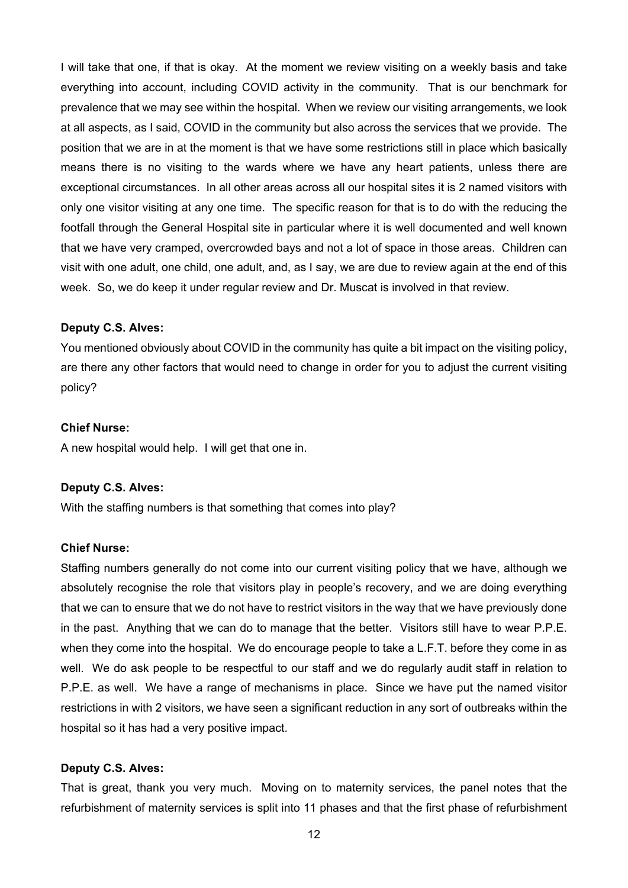I will take that one, if that is okay. At the moment we review visiting on a weekly basis and take everything into account, including COVID activity in the community. That is our benchmark for prevalence that we may see within the hospital. When we review our visiting arrangements, we look at all aspects, as I said, COVID in the community but also across the services that we provide. The position that we are in at the moment is that we have some restrictions still in place which basically means there is no visiting to the wards where we have any heart patients, unless there are exceptional circumstances. In all other areas across all our hospital sites it is 2 named visitors with only one visitor visiting at any one time. The specific reason for that is to do with the reducing the footfall through the General Hospital site in particular where it is well documented and well known that we have very cramped, overcrowded bays and not a lot of space in those areas. Children can visit with one adult, one child, one adult, and, as I say, we are due to review again at the end of this week. So, we do keep it under regular review and Dr. Muscat is involved in that review.

#### **Deputy C.S. Alves:**

You mentioned obviously about COVID in the community has quite a bit impact on the visiting policy, are there any other factors that would need to change in order for you to adjust the current visiting policy?

#### **Chief Nurse:**

A new hospital would help. I will get that one in.

#### **Deputy C.S. Alves:**

With the staffing numbers is that something that comes into play?

#### **Chief Nurse:**

Staffing numbers generally do not come into our current visiting policy that we have, although we absolutely recognise the role that visitors play in people's recovery, and we are doing everything that we can to ensure that we do not have to restrict visitors in the way that we have previously done in the past. Anything that we can do to manage that the better. Visitors still have to wear P.P.E. when they come into the hospital. We do encourage people to take a L.F.T. before they come in as well. We do ask people to be respectful to our staff and we do regularly audit staff in relation to P.P.E. as well. We have a range of mechanisms in place. Since we have put the named visitor restrictions in with 2 visitors, we have seen a significant reduction in any sort of outbreaks within the hospital so it has had a very positive impact.

## **Deputy C.S. Alves:**

That is great, thank you very much. Moving on to maternity services, the panel notes that the refurbishment of maternity services is split into 11 phases and that the first phase of refurbishment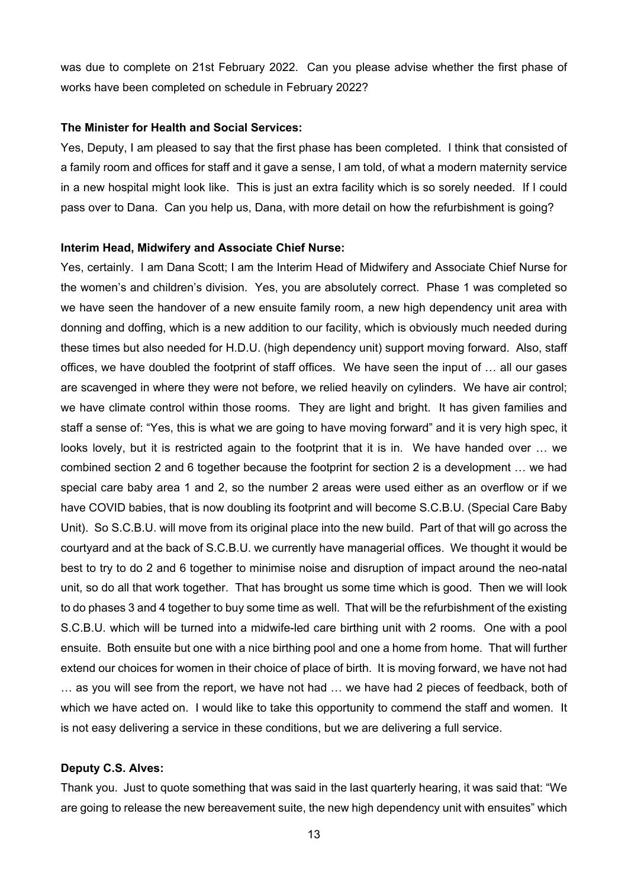was due to complete on 21st February 2022. Can you please advise whether the first phase of works have been completed on schedule in February 2022?

#### **The Minister for Health and Social Services:**

Yes, Deputy, I am pleased to say that the first phase has been completed. I think that consisted of a family room and offices for staff and it gave a sense, I am told, of what a modern maternity service in a new hospital might look like. This is just an extra facility which is so sorely needed. If I could pass over to Dana. Can you help us, Dana, with more detail on how the refurbishment is going?

#### **Interim Head, Midwifery and Associate Chief Nurse:**

Yes, certainly. I am Dana Scott; I am the Interim Head of Midwifery and Associate Chief Nurse for the women's and children's division. Yes, you are absolutely correct. Phase 1 was completed so we have seen the handover of a new ensuite family room, a new high dependency unit area with donning and doffing, which is a new addition to our facility, which is obviously much needed during these times but also needed for H.D.U. (high dependency unit) support moving forward. Also, staff offices, we have doubled the footprint of staff offices. We have seen the input of … all our gases are scavenged in where they were not before, we relied heavily on cylinders. We have air control; we have climate control within those rooms. They are light and bright. It has given families and staff a sense of: "Yes, this is what we are going to have moving forward" and it is very high spec, it looks lovely, but it is restricted again to the footprint that it is in. We have handed over … we combined section 2 and 6 together because the footprint for section 2 is a development … we had special care baby area 1 and 2, so the number 2 areas were used either as an overflow or if we have COVID babies, that is now doubling its footprint and will become S.C.B.U. (Special Care Baby Unit). So S.C.B.U. will move from its original place into the new build. Part of that will go across the courtyard and at the back of S.C.B.U. we currently have managerial offices. We thought it would be best to try to do 2 and 6 together to minimise noise and disruption of impact around the neo-natal unit, so do all that work together. That has brought us some time which is good. Then we will look to do phases 3 and 4 together to buy some time as well. That will be the refurbishment of the existing S.C.B.U. which will be turned into a midwife-led care birthing unit with 2 rooms. One with a pool ensuite. Both ensuite but one with a nice birthing pool and one a home from home. That will further extend our choices for women in their choice of place of birth. It is moving forward, we have not had … as you will see from the report, we have not had … we have had 2 pieces of feedback, both of which we have acted on. I would like to take this opportunity to commend the staff and women. It is not easy delivering a service in these conditions, but we are delivering a full service.

#### **Deputy C.S. Alves:**

Thank you. Just to quote something that was said in the last quarterly hearing, it was said that: "We are going to release the new bereavement suite, the new high dependency unit with ensuites" which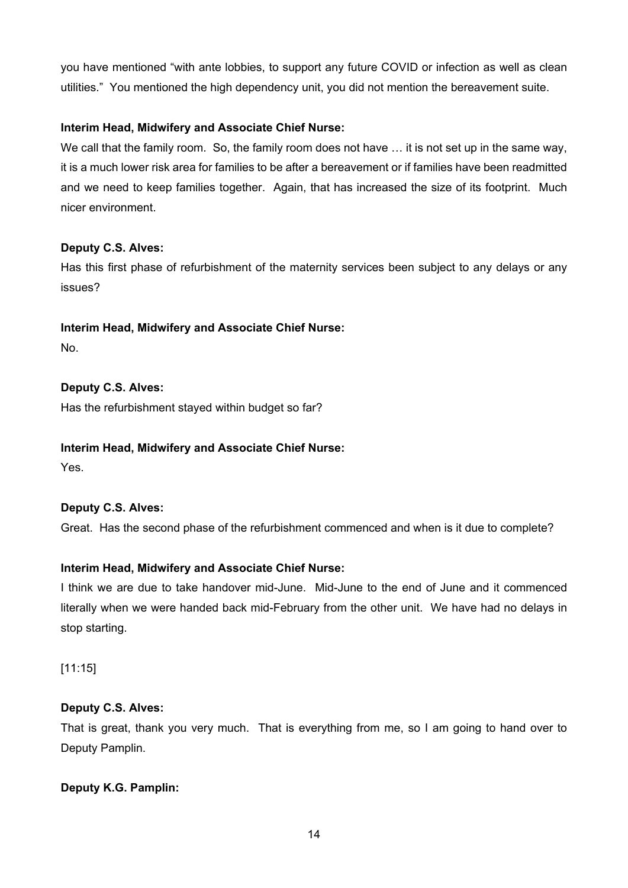you have mentioned "with ante lobbies, to support any future COVID or infection as well as clean utilities." You mentioned the high dependency unit, you did not mention the bereavement suite.

# **Interim Head, Midwifery and Associate Chief Nurse:**

We call that the family room. So, the family room does not have ... it is not set up in the same way, it is a much lower risk area for families to be after a bereavement or if families have been readmitted and we need to keep families together. Again, that has increased the size of its footprint. Much nicer environment.

# **Deputy C.S. Alves:**

Has this first phase of refurbishment of the maternity services been subject to any delays or any issues?

# **Interim Head, Midwifery and Associate Chief Nurse:**

No.

# **Deputy C.S. Alves:**

Has the refurbishment stayed within budget so far?

# **Interim Head, Midwifery and Associate Chief Nurse:**

Yes.

# **Deputy C.S. Alves:**

Great. Has the second phase of the refurbishment commenced and when is it due to complete?

# **Interim Head, Midwifery and Associate Chief Nurse:**

I think we are due to take handover mid-June. Mid-June to the end of June and it commenced literally when we were handed back mid-February from the other unit. We have had no delays in stop starting.

[11:15]

# **Deputy C.S. Alves:**

That is great, thank you very much. That is everything from me, so I am going to hand over to Deputy Pamplin.

# **Deputy K.G. Pamplin:**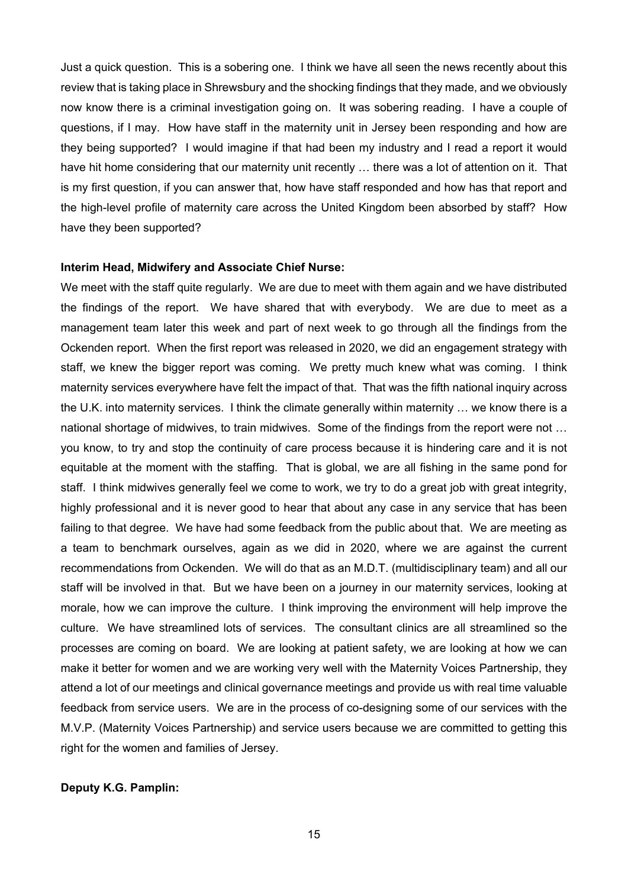Just a quick question. This is a sobering one. I think we have all seen the news recently about this review that is taking place in Shrewsbury and the shocking findings that they made, and we obviously now know there is a criminal investigation going on. It was sobering reading. I have a couple of questions, if I may. How have staff in the maternity unit in Jersey been responding and how are they being supported? I would imagine if that had been my industry and I read a report it would have hit home considering that our maternity unit recently ... there was a lot of attention on it. That is my first question, if you can answer that, how have staff responded and how has that report and the high-level profile of maternity care across the United Kingdom been absorbed by staff? How have they been supported?

#### **Interim Head, Midwifery and Associate Chief Nurse:**

We meet with the staff quite regularly. We are due to meet with them again and we have distributed the findings of the report. We have shared that with everybody. We are due to meet as a management team later this week and part of next week to go through all the findings from the Ockenden report. When the first report was released in 2020, we did an engagement strategy with staff, we knew the bigger report was coming. We pretty much knew what was coming. I think maternity services everywhere have felt the impact of that. That was the fifth national inquiry across the U.K. into maternity services. I think the climate generally within maternity … we know there is a national shortage of midwives, to train midwives. Some of the findings from the report were not … you know, to try and stop the continuity of care process because it is hindering care and it is not equitable at the moment with the staffing. That is global, we are all fishing in the same pond for staff. I think midwives generally feel we come to work, we try to do a great job with great integrity, highly professional and it is never good to hear that about any case in any service that has been failing to that degree. We have had some feedback from the public about that. We are meeting as a team to benchmark ourselves, again as we did in 2020, where we are against the current recommendations from Ockenden. We will do that as an M.D.T. (multidisciplinary team) and all our staff will be involved in that. But we have been on a journey in our maternity services, looking at morale, how we can improve the culture. I think improving the environment will help improve the culture. We have streamlined lots of services. The consultant clinics are all streamlined so the processes are coming on board. We are looking at patient safety, we are looking at how we can make it better for women and we are working very well with the Maternity Voices Partnership, they attend a lot of our meetings and clinical governance meetings and provide us with real time valuable feedback from service users. We are in the process of co-designing some of our services with the M.V.P. (Maternity Voices Partnership) and service users because we are committed to getting this right for the women and families of Jersey.

#### **Deputy K.G. Pamplin:**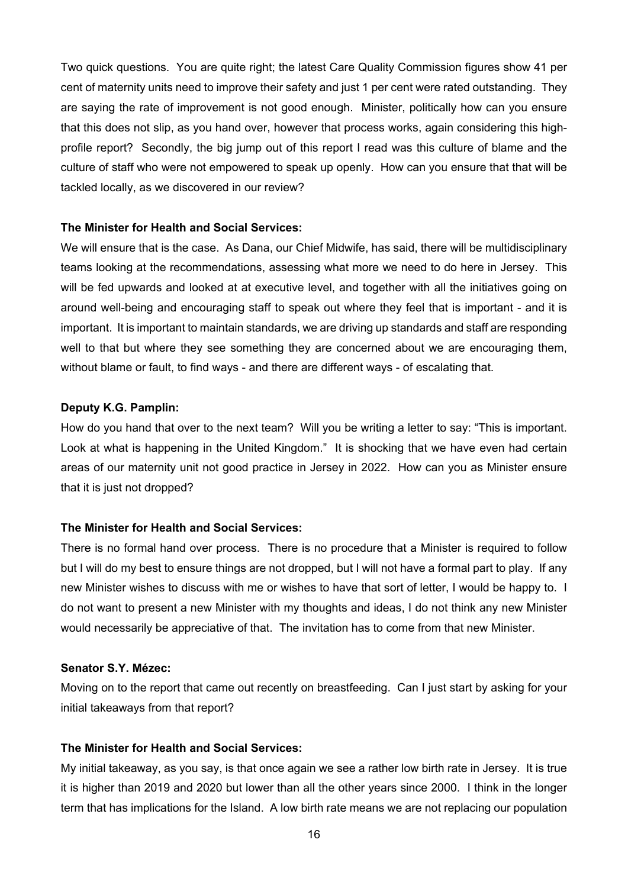Two quick questions. You are quite right; the latest Care Quality Commission figures show 41 per cent of maternity units need to improve their safety and just 1 per cent were rated outstanding. They are saying the rate of improvement is not good enough. Minister, politically how can you ensure that this does not slip, as you hand over, however that process works, again considering this highprofile report? Secondly, the big jump out of this report I read was this culture of blame and the culture of staff who were not empowered to speak up openly. How can you ensure that that will be tackled locally, as we discovered in our review?

# **The Minister for Health and Social Services:**

We will ensure that is the case. As Dana, our Chief Midwife, has said, there will be multidisciplinary teams looking at the recommendations, assessing what more we need to do here in Jersey. This will be fed upwards and looked at at executive level, and together with all the initiatives going on around well-being and encouraging staff to speak out where they feel that is important - and it is important. It is important to maintain standards, we are driving up standards and staff are responding well to that but where they see something they are concerned about we are encouraging them, without blame or fault, to find ways - and there are different ways - of escalating that.

#### **Deputy K.G. Pamplin:**

How do you hand that over to the next team? Will you be writing a letter to say: "This is important. Look at what is happening in the United Kingdom." It is shocking that we have even had certain areas of our maternity unit not good practice in Jersey in 2022. How can you as Minister ensure that it is just not dropped?

# **The Minister for Health and Social Services:**

There is no formal hand over process. There is no procedure that a Minister is required to follow but I will do my best to ensure things are not dropped, but I will not have a formal part to play. If any new Minister wishes to discuss with me or wishes to have that sort of letter, I would be happy to. I do not want to present a new Minister with my thoughts and ideas, I do not think any new Minister would necessarily be appreciative of that. The invitation has to come from that new Minister.

# **Senator S.Y. Mézec:**

Moving on to the report that came out recently on breastfeeding. Can I just start by asking for your initial takeaways from that report?

# **The Minister for Health and Social Services:**

My initial takeaway, as you say, is that once again we see a rather low birth rate in Jersey. It is true it is higher than 2019 and 2020 but lower than all the other years since 2000. I think in the longer term that has implications for the Island. A low birth rate means we are not replacing our population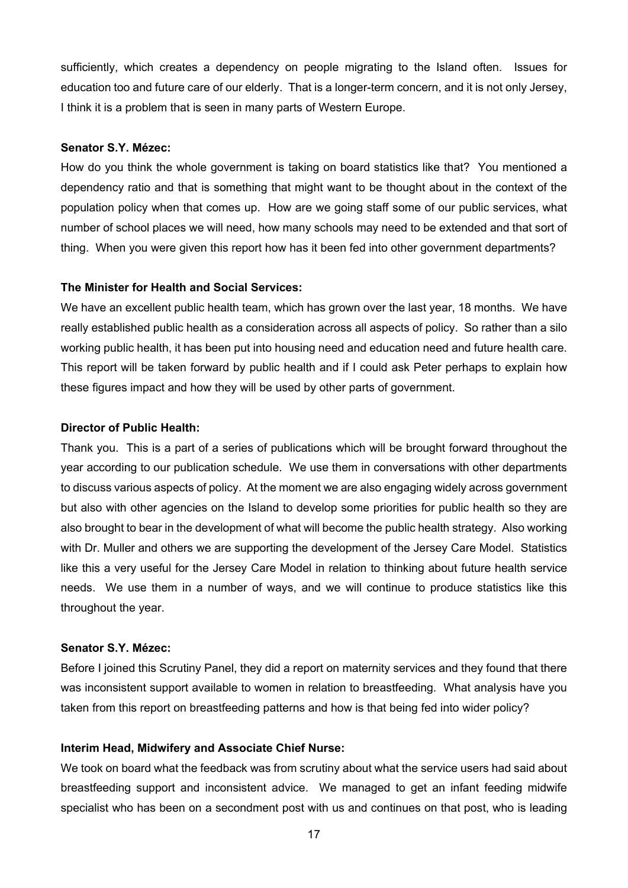sufficiently, which creates a dependency on people migrating to the Island often. Issues for education too and future care of our elderly. That is a longer-term concern, and it is not only Jersey, I think it is a problem that is seen in many parts of Western Europe.

#### **Senator S.Y. Mézec:**

How do you think the whole government is taking on board statistics like that? You mentioned a dependency ratio and that is something that might want to be thought about in the context of the population policy when that comes up. How are we going staff some of our public services, what number of school places we will need, how many schools may need to be extended and that sort of thing. When you were given this report how has it been fed into other government departments?

#### **The Minister for Health and Social Services:**

We have an excellent public health team, which has grown over the last year, 18 months. We have really established public health as a consideration across all aspects of policy. So rather than a silo working public health, it has been put into housing need and education need and future health care. This report will be taken forward by public health and if I could ask Peter perhaps to explain how these figures impact and how they will be used by other parts of government.

#### **Director of Public Health:**

Thank you. This is a part of a series of publications which will be brought forward throughout the year according to our publication schedule. We use them in conversations with other departments to discuss various aspects of policy. At the moment we are also engaging widely across government but also with other agencies on the Island to develop some priorities for public health so they are also brought to bear in the development of what will become the public health strategy. Also working with Dr. Muller and others we are supporting the development of the Jersey Care Model. Statistics like this a very useful for the Jersey Care Model in relation to thinking about future health service needs. We use them in a number of ways, and we will continue to produce statistics like this throughout the year.

#### **Senator S.Y. Mézec:**

Before I joined this Scrutiny Panel, they did a report on maternity services and they found that there was inconsistent support available to women in relation to breastfeeding. What analysis have you taken from this report on breastfeeding patterns and how is that being fed into wider policy?

#### **Interim Head, Midwifery and Associate Chief Nurse:**

We took on board what the feedback was from scrutiny about what the service users had said about breastfeeding support and inconsistent advice. We managed to get an infant feeding midwife specialist who has been on a secondment post with us and continues on that post, who is leading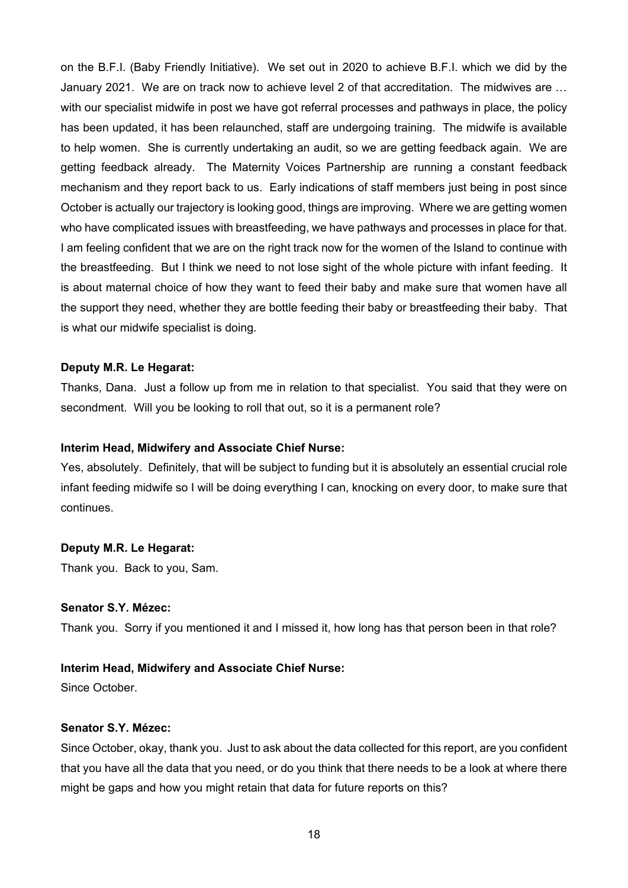on the B.F.I. (Baby Friendly Initiative). We set out in 2020 to achieve B.F.I. which we did by the January 2021. We are on track now to achieve level 2 of that accreditation. The midwives are … with our specialist midwife in post we have got referral processes and pathways in place, the policy has been updated, it has been relaunched, staff are undergoing training. The midwife is available to help women. She is currently undertaking an audit, so we are getting feedback again. We are getting feedback already. The Maternity Voices Partnership are running a constant feedback mechanism and they report back to us. Early indications of staff members just being in post since October is actually our trajectory is looking good, things are improving. Where we are getting women who have complicated issues with breastfeeding, we have pathways and processes in place for that. I am feeling confident that we are on the right track now for the women of the Island to continue with the breastfeeding. But I think we need to not lose sight of the whole picture with infant feeding. It is about maternal choice of how they want to feed their baby and make sure that women have all the support they need, whether they are bottle feeding their baby or breastfeeding their baby. That is what our midwife specialist is doing.

#### **Deputy M.R. Le Hegarat:**

Thanks, Dana. Just a follow up from me in relation to that specialist. You said that they were on secondment. Will you be looking to roll that out, so it is a permanent role?

#### **Interim Head, Midwifery and Associate Chief Nurse:**

Yes, absolutely. Definitely, that will be subject to funding but it is absolutely an essential crucial role infant feeding midwife so I will be doing everything I can, knocking on every door, to make sure that continues.

#### **Deputy M.R. Le Hegarat:**

Thank you. Back to you, Sam.

# **Senator S.Y. Mézec:**

Thank you. Sorry if you mentioned it and I missed it, how long has that person been in that role?

## **Interim Head, Midwifery and Associate Chief Nurse:**

Since October.

#### **Senator S.Y. Mézec:**

Since October, okay, thank you. Just to ask about the data collected for this report, are you confident that you have all the data that you need, or do you think that there needs to be a look at where there might be gaps and how you might retain that data for future reports on this?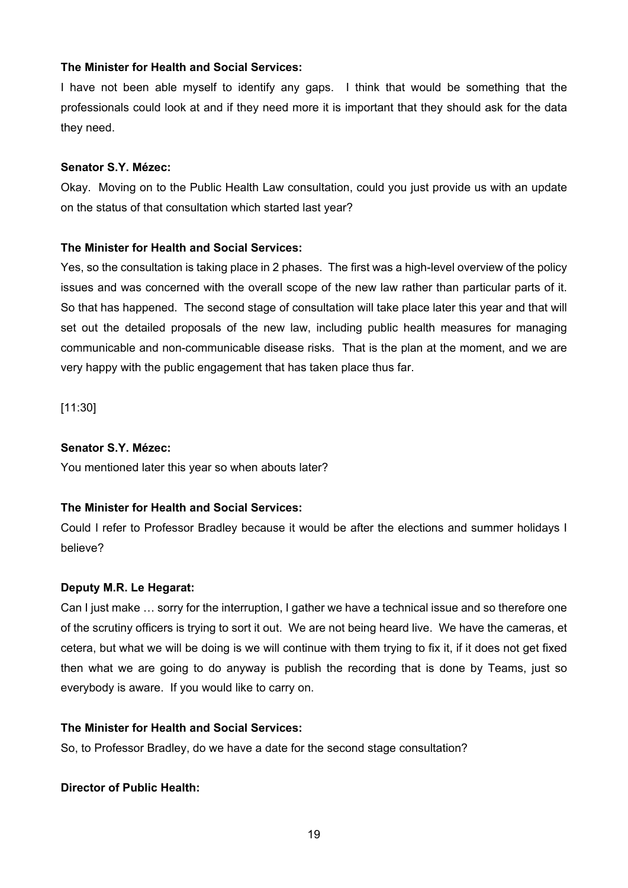# **The Minister for Health and Social Services:**

I have not been able myself to identify any gaps. I think that would be something that the professionals could look at and if they need more it is important that they should ask for the data they need.

# **Senator S.Y. Mézec:**

Okay. Moving on to the Public Health Law consultation, could you just provide us with an update on the status of that consultation which started last year?

# **The Minister for Health and Social Services:**

Yes, so the consultation is taking place in 2 phases. The first was a high-level overview of the policy issues and was concerned with the overall scope of the new law rather than particular parts of it. So that has happened. The second stage of consultation will take place later this year and that will set out the detailed proposals of the new law, including public health measures for managing communicable and non-communicable disease risks. That is the plan at the moment, and we are very happy with the public engagement that has taken place thus far.

[11:30]

# **Senator S.Y. Mézec:**

You mentioned later this year so when abouts later?

# **The Minister for Health and Social Services:**

Could I refer to Professor Bradley because it would be after the elections and summer holidays I believe?

# **Deputy M.R. Le Hegarat:**

Can I just make … sorry for the interruption, I gather we have a technical issue and so therefore one of the scrutiny officers is trying to sort it out. We are not being heard live. We have the cameras, et cetera, but what we will be doing is we will continue with them trying to fix it, if it does not get fixed then what we are going to do anyway is publish the recording that is done by Teams, just so everybody is aware. If you would like to carry on.

# **The Minister for Health and Social Services:**

So, to Professor Bradley, do we have a date for the second stage consultation?

# **Director of Public Health:**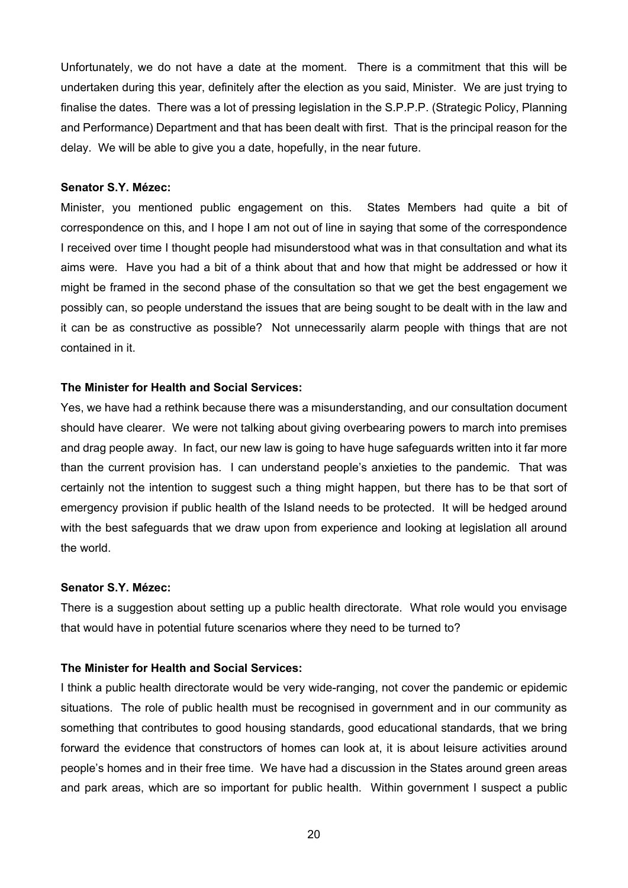Unfortunately, we do not have a date at the moment. There is a commitment that this will be undertaken during this year, definitely after the election as you said, Minister. We are just trying to finalise the dates. There was a lot of pressing legislation in the S.P.P.P. (Strategic Policy, Planning and Performance) Department and that has been dealt with first. That is the principal reason for the delay. We will be able to give you a date, hopefully, in the near future.

#### **Senator S.Y. Mézec:**

Minister, you mentioned public engagement on this. States Members had quite a bit of correspondence on this, and I hope I am not out of line in saying that some of the correspondence I received over time I thought people had misunderstood what was in that consultation and what its aims were. Have you had a bit of a think about that and how that might be addressed or how it might be framed in the second phase of the consultation so that we get the best engagement we possibly can, so people understand the issues that are being sought to be dealt with in the law and it can be as constructive as possible? Not unnecessarily alarm people with things that are not contained in it.

# **The Minister for Health and Social Services:**

Yes, we have had a rethink because there was a misunderstanding, and our consultation document should have clearer. We were not talking about giving overbearing powers to march into premises and drag people away. In fact, our new law is going to have huge safeguards written into it far more than the current provision has. I can understand people's anxieties to the pandemic. That was certainly not the intention to suggest such a thing might happen, but there has to be that sort of emergency provision if public health of the Island needs to be protected. It will be hedged around with the best safeguards that we draw upon from experience and looking at legislation all around the world.

#### **Senator S.Y. Mézec:**

There is a suggestion about setting up a public health directorate. What role would you envisage that would have in potential future scenarios where they need to be turned to?

# **The Minister for Health and Social Services:**

I think a public health directorate would be very wide-ranging, not cover the pandemic or epidemic situations. The role of public health must be recognised in government and in our community as something that contributes to good housing standards, good educational standards, that we bring forward the evidence that constructors of homes can look at, it is about leisure activities around people's homes and in their free time. We have had a discussion in the States around green areas and park areas, which are so important for public health. Within government I suspect a public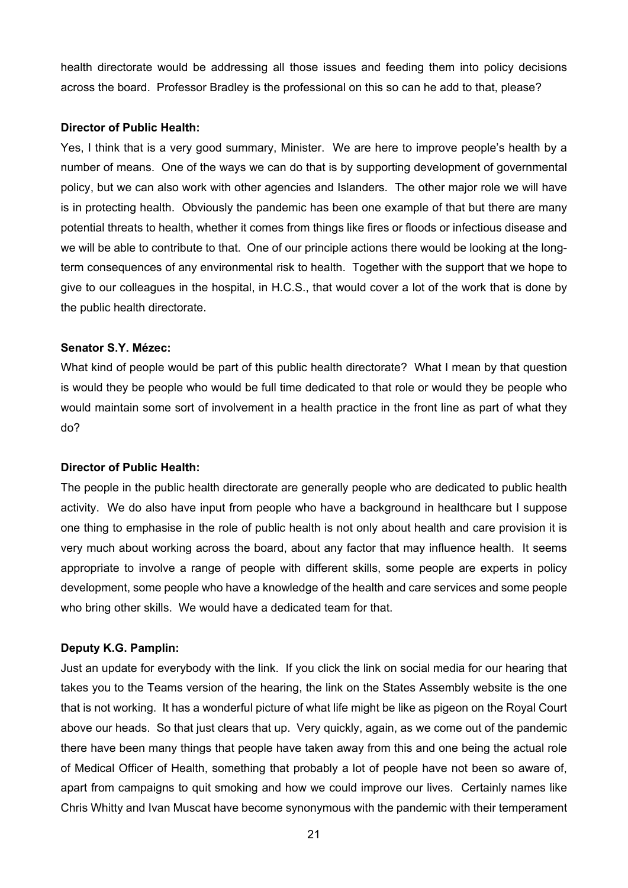health directorate would be addressing all those issues and feeding them into policy decisions across the board. Professor Bradley is the professional on this so can he add to that, please?

#### **Director of Public Health:**

Yes, I think that is a very good summary, Minister. We are here to improve people's health by a number of means. One of the ways we can do that is by supporting development of governmental policy, but we can also work with other agencies and Islanders. The other major role we will have is in protecting health. Obviously the pandemic has been one example of that but there are many potential threats to health, whether it comes from things like fires or floods or infectious disease and we will be able to contribute to that. One of our principle actions there would be looking at the longterm consequences of any environmental risk to health. Together with the support that we hope to give to our colleagues in the hospital, in H.C.S., that would cover a lot of the work that is done by the public health directorate.

#### **Senator S.Y. Mézec:**

What kind of people would be part of this public health directorate? What I mean by that question is would they be people who would be full time dedicated to that role or would they be people who would maintain some sort of involvement in a health practice in the front line as part of what they do?

#### **Director of Public Health:**

The people in the public health directorate are generally people who are dedicated to public health activity. We do also have input from people who have a background in healthcare but I suppose one thing to emphasise in the role of public health is not only about health and care provision it is very much about working across the board, about any factor that may influence health. It seems appropriate to involve a range of people with different skills, some people are experts in policy development, some people who have a knowledge of the health and care services and some people who bring other skills. We would have a dedicated team for that.

#### **Deputy K.G. Pamplin:**

Just an update for everybody with the link. If you click the link on social media for our hearing that takes you to the Teams version of the hearing, the link on the States Assembly website is the one that is not working. It has a wonderful picture of what life might be like as pigeon on the Royal Court above our heads. So that just clears that up. Very quickly, again, as we come out of the pandemic there have been many things that people have taken away from this and one being the actual role of Medical Officer of Health, something that probably a lot of people have not been so aware of, apart from campaigns to quit smoking and how we could improve our lives. Certainly names like Chris Whitty and Ivan Muscat have become synonymous with the pandemic with their temperament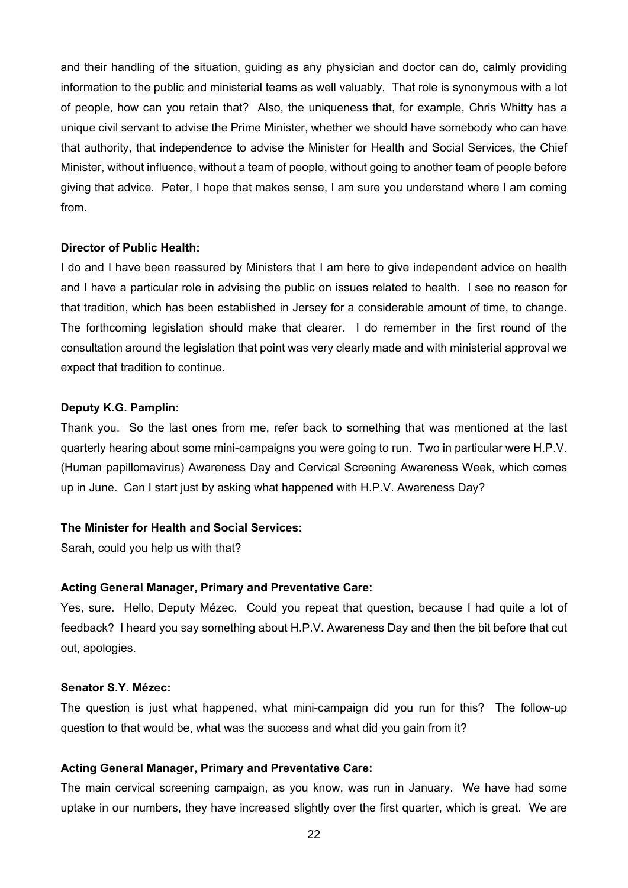and their handling of the situation, guiding as any physician and doctor can do, calmly providing information to the public and ministerial teams as well valuably. That role is synonymous with a lot of people, how can you retain that? Also, the uniqueness that, for example, Chris Whitty has a unique civil servant to advise the Prime Minister, whether we should have somebody who can have that authority, that independence to advise the Minister for Health and Social Services, the Chief Minister, without influence, without a team of people, without going to another team of people before giving that advice. Peter, I hope that makes sense, I am sure you understand where I am coming from.

#### **Director of Public Health:**

I do and I have been reassured by Ministers that I am here to give independent advice on health and I have a particular role in advising the public on issues related to health. I see no reason for that tradition, which has been established in Jersey for a considerable amount of time, to change. The forthcoming legislation should make that clearer. I do remember in the first round of the consultation around the legislation that point was very clearly made and with ministerial approval we expect that tradition to continue.

#### **Deputy K.G. Pamplin:**

Thank you. So the last ones from me, refer back to something that was mentioned at the last quarterly hearing about some mini-campaigns you were going to run. Two in particular were H.P.V. (Human papillomavirus) Awareness Day and Cervical Screening Awareness Week, which comes up in June. Can I start just by asking what happened with H.P.V. Awareness Day?

# **The Minister for Health and Social Services:**

Sarah, could you help us with that?

#### **Acting General Manager, Primary and Preventative Care:**

Yes, sure. Hello, Deputy Mézec. Could you repeat that question, because I had quite a lot of feedback? I heard you say something about H.P.V. Awareness Day and then the bit before that cut out, apologies.

# **Senator S.Y. Mézec:**

The question is just what happened, what mini-campaign did you run for this? The follow-up question to that would be, what was the success and what did you gain from it?

#### **Acting General Manager, Primary and Preventative Care:**

The main cervical screening campaign, as you know, was run in January. We have had some uptake in our numbers, they have increased slightly over the first quarter, which is great. We are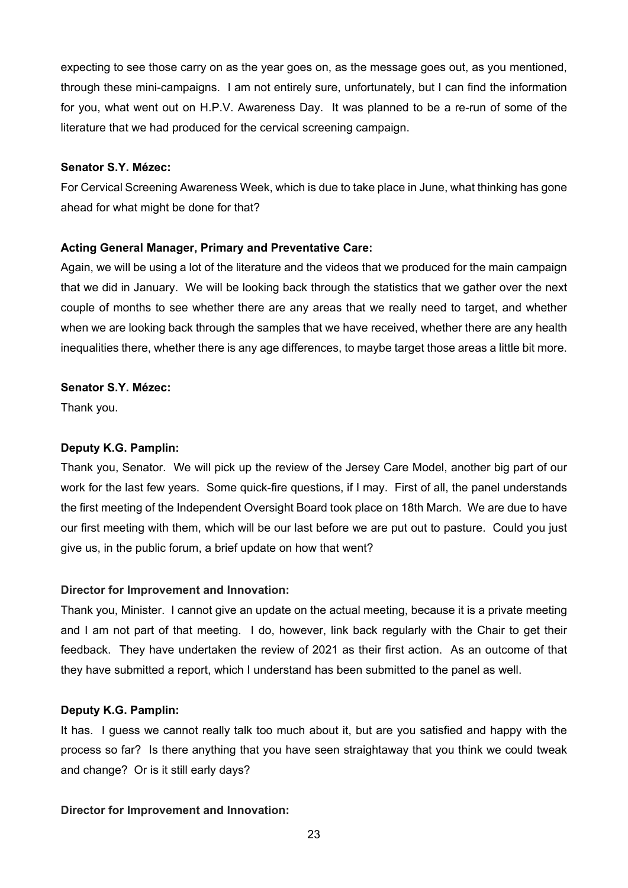expecting to see those carry on as the year goes on, as the message goes out, as you mentioned, through these mini-campaigns. I am not entirely sure, unfortunately, but I can find the information for you, what went out on H.P.V. Awareness Day. It was planned to be a re-run of some of the literature that we had produced for the cervical screening campaign.

## **Senator S.Y. Mézec:**

For Cervical Screening Awareness Week, which is due to take place in June, what thinking has gone ahead for what might be done for that?

# **Acting General Manager, Primary and Preventative Care:**

Again, we will be using a lot of the literature and the videos that we produced for the main campaign that we did in January. We will be looking back through the statistics that we gather over the next couple of months to see whether there are any areas that we really need to target, and whether when we are looking back through the samples that we have received, whether there are any health inequalities there, whether there is any age differences, to maybe target those areas a little bit more.

# **Senator S.Y. Mézec:**

Thank you.

# **Deputy K.G. Pamplin:**

Thank you, Senator. We will pick up the review of the Jersey Care Model, another big part of our work for the last few years. Some quick-fire questions, if I may. First of all, the panel understands the first meeting of the Independent Oversight Board took place on 18th March. We are due to have our first meeting with them, which will be our last before we are put out to pasture. Could you just give us, in the public forum, a brief update on how that went?

# **Director for Improvement and Innovation:**

Thank you, Minister. I cannot give an update on the actual meeting, because it is a private meeting and I am not part of that meeting. I do, however, link back regularly with the Chair to get their feedback. They have undertaken the review of 2021 as their first action. As an outcome of that they have submitted a report, which I understand has been submitted to the panel as well.

# **Deputy K.G. Pamplin:**

It has. I guess we cannot really talk too much about it, but are you satisfied and happy with the process so far? Is there anything that you have seen straightaway that you think we could tweak and change? Or is it still early days?

# **Director for Improvement and Innovation:**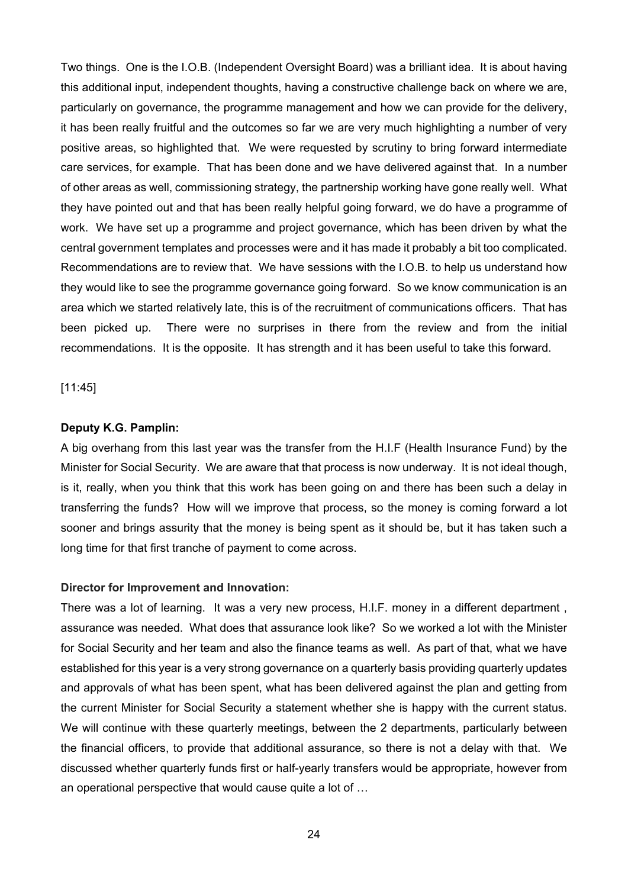Two things. One is the I.O.B. (Independent Oversight Board) was a brilliant idea. It is about having this additional input, independent thoughts, having a constructive challenge back on where we are, particularly on governance, the programme management and how we can provide for the delivery, it has been really fruitful and the outcomes so far we are very much highlighting a number of very positive areas, so highlighted that. We were requested by scrutiny to bring forward intermediate care services, for example. That has been done and we have delivered against that. In a number of other areas as well, commissioning strategy, the partnership working have gone really well. What they have pointed out and that has been really helpful going forward, we do have a programme of work. We have set up a programme and project governance, which has been driven by what the central government templates and processes were and it has made it probably a bit too complicated. Recommendations are to review that. We have sessions with the I.O.B. to help us understand how they would like to see the programme governance going forward. So we know communication is an area which we started relatively late, this is of the recruitment of communications officers. That has been picked up. There were no surprises in there from the review and from the initial recommendations. It is the opposite. It has strength and it has been useful to take this forward.

[11:45]

# **Deputy K.G. Pamplin:**

A big overhang from this last year was the transfer from the H.I.F (Health Insurance Fund) by the Minister for Social Security. We are aware that that process is now underway. It is not ideal though, is it, really, when you think that this work has been going on and there has been such a delay in transferring the funds? How will we improve that process, so the money is coming forward a lot sooner and brings assurity that the money is being spent as it should be, but it has taken such a long time for that first tranche of payment to come across.

#### **Director for Improvement and Innovation:**

There was a lot of learning. It was a very new process, H.I.F. money in a different department , assurance was needed. What does that assurance look like? So we worked a lot with the Minister for Social Security and her team and also the finance teams as well. As part of that, what we have established for this year is a very strong governance on a quarterly basis providing quarterly updates and approvals of what has been spent, what has been delivered against the plan and getting from the current Minister for Social Security a statement whether she is happy with the current status. We will continue with these quarterly meetings, between the 2 departments, particularly between the financial officers, to provide that additional assurance, so there is not a delay with that. We discussed whether quarterly funds first or half-yearly transfers would be appropriate, however from an operational perspective that would cause quite a lot of …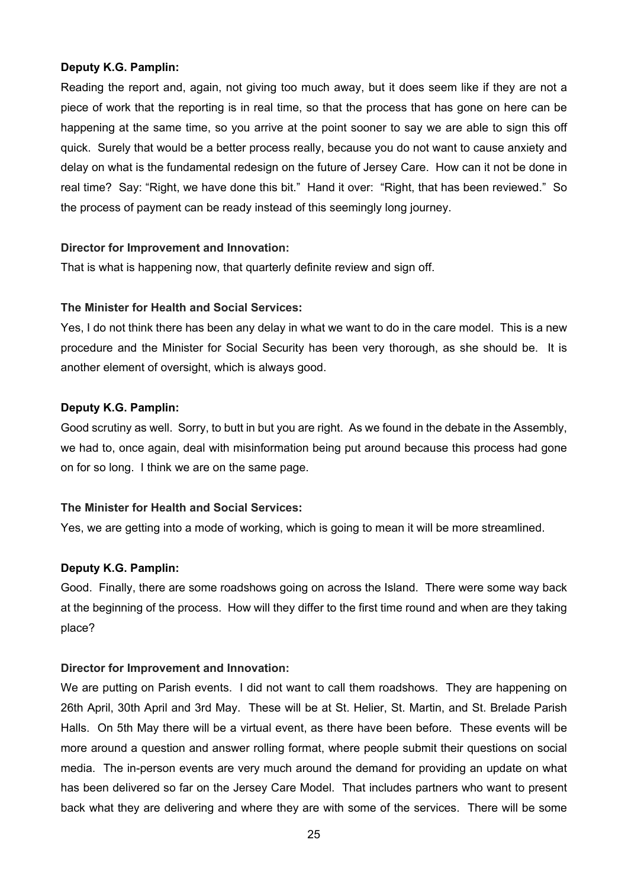## **Deputy K.G. Pamplin:**

Reading the report and, again, not giving too much away, but it does seem like if they are not a piece of work that the reporting is in real time, so that the process that has gone on here can be happening at the same time, so you arrive at the point sooner to say we are able to sign this off quick. Surely that would be a better process really, because you do not want to cause anxiety and delay on what is the fundamental redesign on the future of Jersey Care. How can it not be done in real time? Say: "Right, we have done this bit." Hand it over: "Right, that has been reviewed." So the process of payment can be ready instead of this seemingly long journey.

## **Director for Improvement and Innovation:**

That is what is happening now, that quarterly definite review and sign off.

## **The Minister for Health and Social Services:**

Yes, I do not think there has been any delay in what we want to do in the care model. This is a new procedure and the Minister for Social Security has been very thorough, as she should be. It is another element of oversight, which is always good.

## **Deputy K.G. Pamplin:**

Good scrutiny as well. Sorry, to butt in but you are right. As we found in the debate in the Assembly, we had to, once again, deal with misinformation being put around because this process had gone on for so long. I think we are on the same page.

#### **The Minister for Health and Social Services:**

Yes, we are getting into a mode of working, which is going to mean it will be more streamlined.

# **Deputy K.G. Pamplin:**

Good. Finally, there are some roadshows going on across the Island. There were some way back at the beginning of the process. How will they differ to the first time round and when are they taking place?

#### **Director for Improvement and Innovation:**

We are putting on Parish events. I did not want to call them roadshows. They are happening on 26th April, 30th April and 3rd May. These will be at St. Helier, St. Martin, and St. Brelade Parish Halls. On 5th May there will be a virtual event, as there have been before. These events will be more around a question and answer rolling format, where people submit their questions on social media. The in-person events are very much around the demand for providing an update on what has been delivered so far on the Jersey Care Model. That includes partners who want to present back what they are delivering and where they are with some of the services. There will be some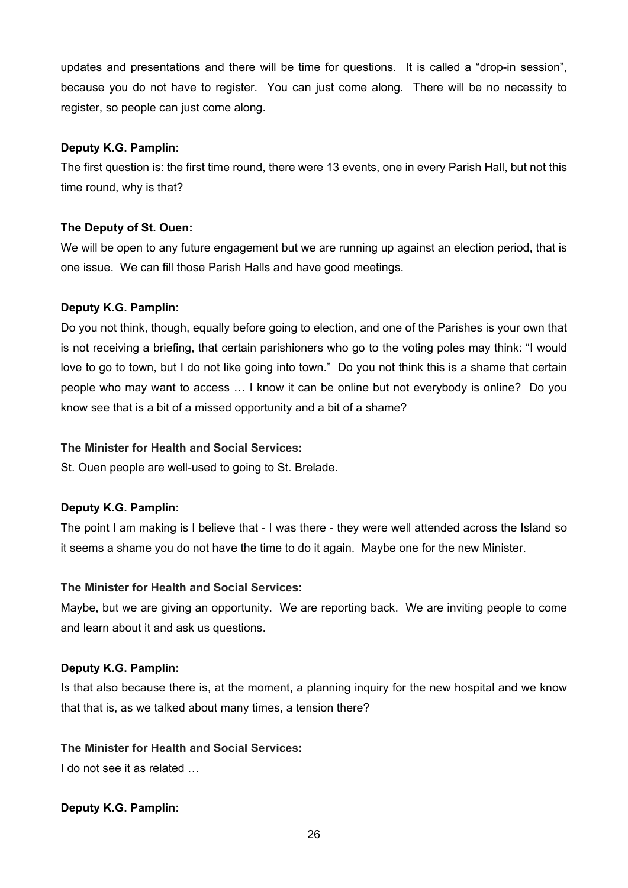updates and presentations and there will be time for questions. It is called a "drop-in session", because you do not have to register. You can just come along. There will be no necessity to register, so people can just come along.

# **Deputy K.G. Pamplin:**

The first question is: the first time round, there were 13 events, one in every Parish Hall, but not this time round, why is that?

# **The Deputy of St. Ouen:**

We will be open to any future engagement but we are running up against an election period, that is one issue. We can fill those Parish Halls and have good meetings.

# **Deputy K.G. Pamplin:**

Do you not think, though, equally before going to election, and one of the Parishes is your own that is not receiving a briefing, that certain parishioners who go to the voting poles may think: "I would love to go to town, but I do not like going into town." Do you not think this is a shame that certain people who may want to access … I know it can be online but not everybody is online? Do you know see that is a bit of a missed opportunity and a bit of a shame?

# **The Minister for Health and Social Services:**

St. Ouen people are well-used to going to St. Brelade.

# **Deputy K.G. Pamplin:**

The point I am making is I believe that - I was there - they were well attended across the Island so it seems a shame you do not have the time to do it again. Maybe one for the new Minister.

# **The Minister for Health and Social Services:**

Maybe, but we are giving an opportunity. We are reporting back. We are inviting people to come and learn about it and ask us questions.

# **Deputy K.G. Pamplin:**

Is that also because there is, at the moment, a planning inquiry for the new hospital and we know that that is, as we talked about many times, a tension there?

# **The Minister for Health and Social Services:**

I do not see it as related ...

# **Deputy K.G. Pamplin:**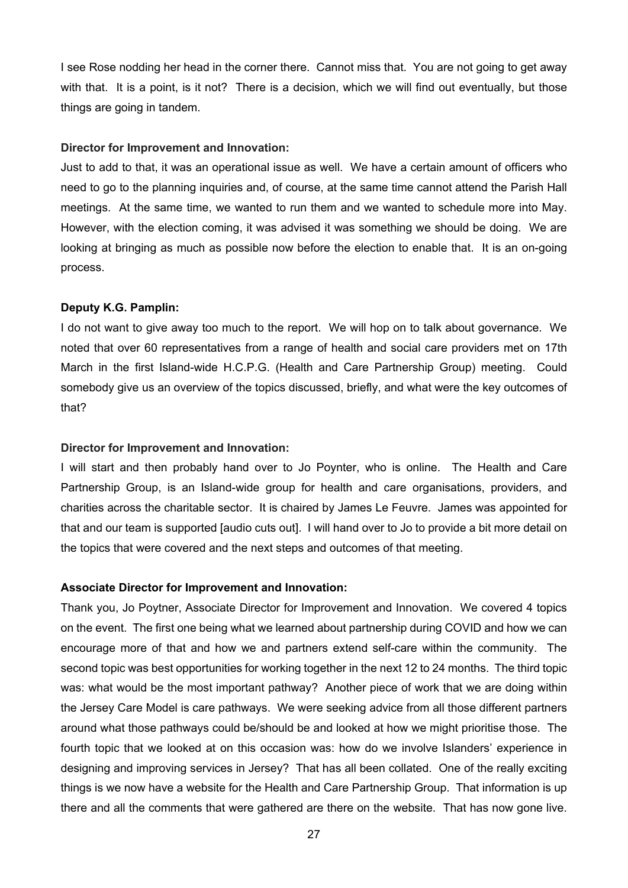I see Rose nodding her head in the corner there. Cannot miss that. You are not going to get away with that. It is a point, is it not? There is a decision, which we will find out eventually, but those things are going in tandem.

#### **Director for Improvement and Innovation:**

Just to add to that, it was an operational issue as well. We have a certain amount of officers who need to go to the planning inquiries and, of course, at the same time cannot attend the Parish Hall meetings. At the same time, we wanted to run them and we wanted to schedule more into May. However, with the election coming, it was advised it was something we should be doing. We are looking at bringing as much as possible now before the election to enable that. It is an on-going process.

#### **Deputy K.G. Pamplin:**

I do not want to give away too much to the report. We will hop on to talk about governance. We noted that over 60 representatives from a range of health and social care providers met on 17th March in the first Island-wide H.C.P.G. (Health and Care Partnership Group) meeting. Could somebody give us an overview of the topics discussed, briefly, and what were the key outcomes of that?

#### **Director for Improvement and Innovation:**

I will start and then probably hand over to Jo Poynter, who is online. The Health and Care Partnership Group, is an Island-wide group for health and care organisations, providers, and charities across the charitable sector. It is chaired by James Le Feuvre. James was appointed for that and our team is supported [audio cuts out]. I will hand over to Jo to provide a bit more detail on the topics that were covered and the next steps and outcomes of that meeting.

#### **Associate Director for Improvement and Innovation:**

Thank you, Jo Poytner, Associate Director for Improvement and Innovation. We covered 4 topics on the event. The first one being what we learned about partnership during COVID and how we can encourage more of that and how we and partners extend self-care within the community. The second topic was best opportunities for working together in the next 12 to 24 months. The third topic was: what would be the most important pathway? Another piece of work that we are doing within the Jersey Care Model is care pathways. We were seeking advice from all those different partners around what those pathways could be/should be and looked at how we might prioritise those. The fourth topic that we looked at on this occasion was: how do we involve Islanders' experience in designing and improving services in Jersey? That has all been collated. One of the really exciting things is we now have a website for the Health and Care Partnership Group. That information is up there and all the comments that were gathered are there on the website. That has now gone live.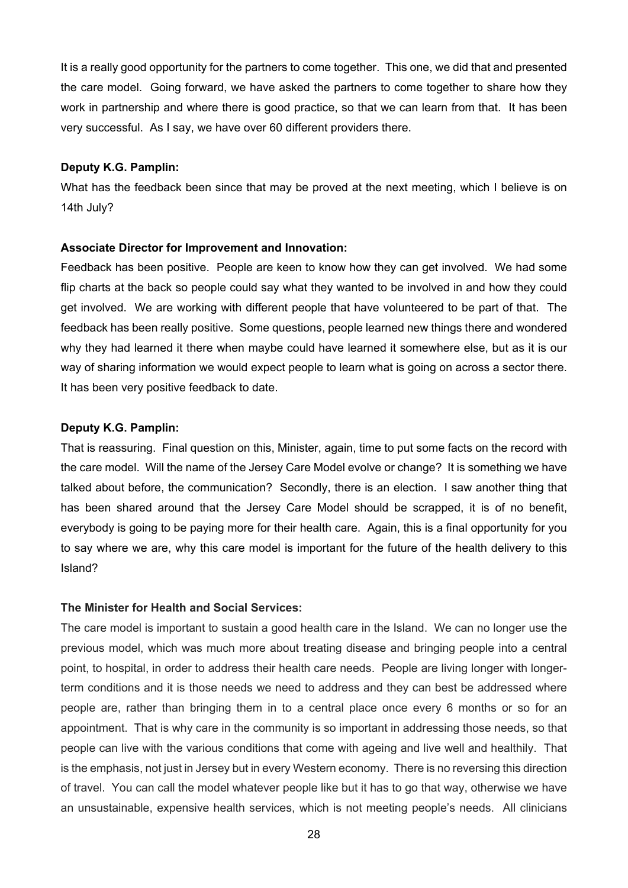It is a really good opportunity for the partners to come together. This one, we did that and presented the care model. Going forward, we have asked the partners to come together to share how they work in partnership and where there is good practice, so that we can learn from that. It has been very successful. As I say, we have over 60 different providers there.

#### **Deputy K.G. Pamplin:**

What has the feedback been since that may be proved at the next meeting, which I believe is on 14th July?

#### **Associate Director for Improvement and Innovation:**

Feedback has been positive. People are keen to know how they can get involved. We had some flip charts at the back so people could say what they wanted to be involved in and how they could get involved. We are working with different people that have volunteered to be part of that. The feedback has been really positive. Some questions, people learned new things there and wondered why they had learned it there when maybe could have learned it somewhere else, but as it is our way of sharing information we would expect people to learn what is going on across a sector there. It has been very positive feedback to date.

# **Deputy K.G. Pamplin:**

That is reassuring. Final question on this, Minister, again, time to put some facts on the record with the care model. Will the name of the Jersey Care Model evolve or change? It is something we have talked about before, the communication? Secondly, there is an election. I saw another thing that has been shared around that the Jersey Care Model should be scrapped, it is of no benefit, everybody is going to be paying more for their health care. Again, this is a final opportunity for you to say where we are, why this care model is important for the future of the health delivery to this Island?

## **The Minister for Health and Social Services:**

The care model is important to sustain a good health care in the Island. We can no longer use the previous model, which was much more about treating disease and bringing people into a central point, to hospital, in order to address their health care needs. People are living longer with longerterm conditions and it is those needs we need to address and they can best be addressed where people are, rather than bringing them in to a central place once every 6 months or so for an appointment. That is why care in the community is so important in addressing those needs, so that people can live with the various conditions that come with ageing and live well and healthily. That is the emphasis, not just in Jersey but in every Western economy. There is no reversing this direction of travel. You can call the model whatever people like but it has to go that way, otherwise we have an unsustainable, expensive health services, which is not meeting people's needs. All clinicians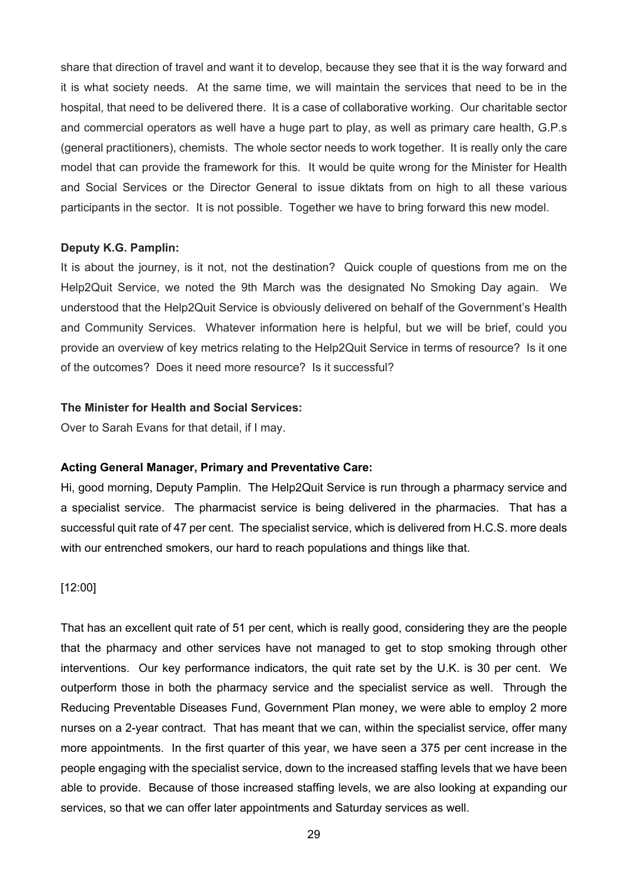share that direction of travel and want it to develop, because they see that it is the way forward and it is what society needs. At the same time, we will maintain the services that need to be in the hospital, that need to be delivered there. It is a case of collaborative working. Our charitable sector and commercial operators as well have a huge part to play, as well as primary care health, G.P.s (general practitioners), chemists. The whole sector needs to work together. It is really only the care model that can provide the framework for this. It would be quite wrong for the Minister for Health and Social Services or the Director General to issue diktats from on high to all these various participants in the sector. It is not possible. Together we have to bring forward this new model.

#### **Deputy K.G. Pamplin:**

It is about the journey, is it not, not the destination? Quick couple of questions from me on the Help2Quit Service, we noted the 9th March was the designated No Smoking Day again. We understood that the Help2Quit Service is obviously delivered on behalf of the Government's Health and Community Services. Whatever information here is helpful, but we will be brief, could you provide an overview of key metrics relating to the Help2Quit Service in terms of resource? Is it one of the outcomes? Does it need more resource? Is it successful?

#### **The Minister for Health and Social Services:**

Over to Sarah Evans for that detail, if I may.

#### **Acting General Manager, Primary and Preventative Care:**

Hi, good morning, Deputy Pamplin. The Help2Quit Service is run through a pharmacy service and a specialist service. The pharmacist service is being delivered in the pharmacies. That has a successful quit rate of 47 per cent. The specialist service, which is delivered from H.C.S. more deals with our entrenched smokers, our hard to reach populations and things like that.

#### [12:00]

That has an excellent quit rate of 51 per cent, which is really good, considering they are the people that the pharmacy and other services have not managed to get to stop smoking through other interventions. Our key performance indicators, the quit rate set by the U.K. is 30 per cent. We outperform those in both the pharmacy service and the specialist service as well. Through the Reducing Preventable Diseases Fund, Government Plan money, we were able to employ 2 more nurses on a 2-year contract. That has meant that we can, within the specialist service, offer many more appointments. In the first quarter of this year, we have seen a 375 per cent increase in the people engaging with the specialist service, down to the increased staffing levels that we have been able to provide. Because of those increased staffing levels, we are also looking at expanding our services, so that we can offer later appointments and Saturday services as well.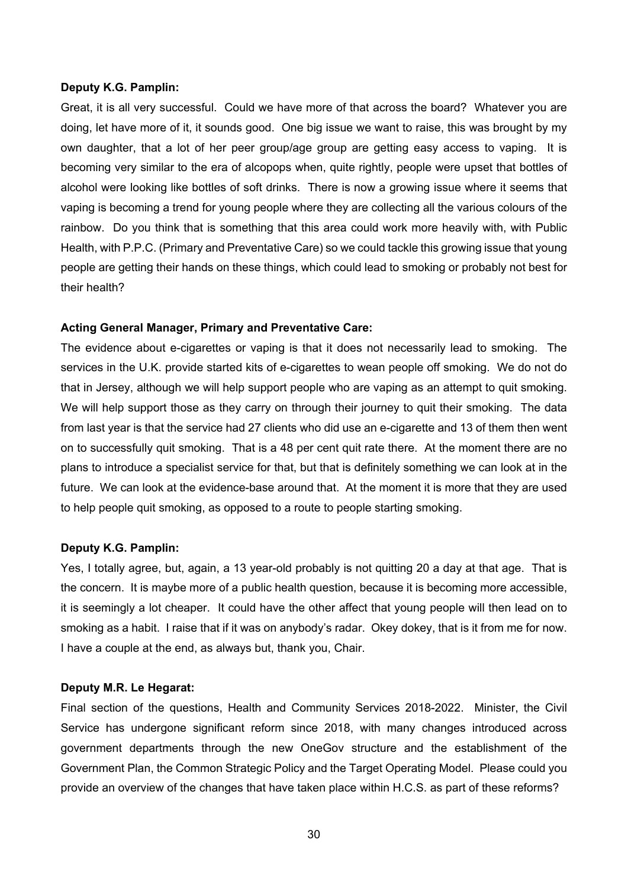#### **Deputy K.G. Pamplin:**

Great, it is all very successful. Could we have more of that across the board? Whatever you are doing, let have more of it, it sounds good. One big issue we want to raise, this was brought by my own daughter, that a lot of her peer group/age group are getting easy access to vaping. It is becoming very similar to the era of alcopops when, quite rightly, people were upset that bottles of alcohol were looking like bottles of soft drinks. There is now a growing issue where it seems that vaping is becoming a trend for young people where they are collecting all the various colours of the rainbow. Do you think that is something that this area could work more heavily with, with Public Health, with P.P.C. (Primary and Preventative Care) so we could tackle this growing issue that young people are getting their hands on these things, which could lead to smoking or probably not best for their health?

#### **Acting General Manager, Primary and Preventative Care:**

The evidence about e-cigarettes or vaping is that it does not necessarily lead to smoking. The services in the U.K. provide started kits of e-cigarettes to wean people off smoking. We do not do that in Jersey, although we will help support people who are vaping as an attempt to quit smoking. We will help support those as they carry on through their journey to quit their smoking. The data from last year is that the service had 27 clients who did use an e-cigarette and 13 of them then went on to successfully quit smoking. That is a 48 per cent quit rate there. At the moment there are no plans to introduce a specialist service for that, but that is definitely something we can look at in the future. We can look at the evidence-base around that. At the moment it is more that they are used to help people quit smoking, as opposed to a route to people starting smoking.

#### **Deputy K.G. Pamplin:**

Yes, I totally agree, but, again, a 13 year-old probably is not quitting 20 a day at that age. That is the concern. It is maybe more of a public health question, because it is becoming more accessible, it is seemingly a lot cheaper. It could have the other affect that young people will then lead on to smoking as a habit. I raise that if it was on anybody's radar. Okey dokey, that is it from me for now. I have a couple at the end, as always but, thank you, Chair.

## **Deputy M.R. Le Hegarat:**

Final section of the questions, Health and Community Services 2018-2022. Minister, the Civil Service has undergone significant reform since 2018, with many changes introduced across government departments through the new OneGov structure and the establishment of the Government Plan, the Common Strategic Policy and the Target Operating Model. Please could you provide an overview of the changes that have taken place within H.C.S. as part of these reforms?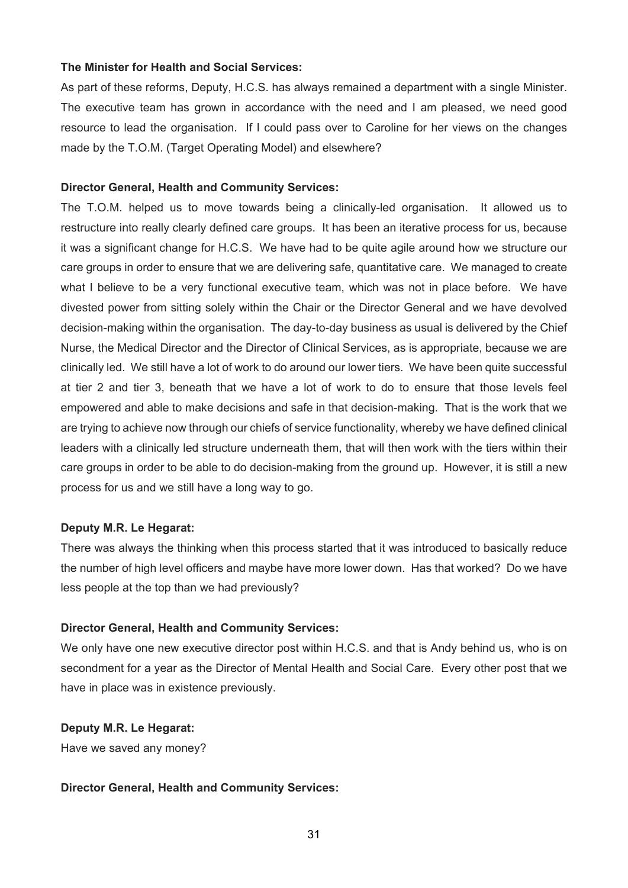#### **The Minister for Health and Social Services:**

As part of these reforms, Deputy, H.C.S. has always remained a department with a single Minister. The executive team has grown in accordance with the need and I am pleased, we need good resource to lead the organisation. If I could pass over to Caroline for her views on the changes made by the T.O.M. (Target Operating Model) and elsewhere?

#### **Director General, Health and Community Services:**

The T.O.M. helped us to move towards being a clinically-led organisation. It allowed us to restructure into really clearly defined care groups. It has been an iterative process for us, because it was a significant change for H.C.S. We have had to be quite agile around how we structure our care groups in order to ensure that we are delivering safe, quantitative care. We managed to create what I believe to be a very functional executive team, which was not in place before. We have divested power from sitting solely within the Chair or the Director General and we have devolved decision-making within the organisation. The day-to-day business as usual is delivered by the Chief Nurse, the Medical Director and the Director of Clinical Services, as is appropriate, because we are clinically led. We still have a lot of work to do around our lower tiers. We have been quite successful at tier 2 and tier 3, beneath that we have a lot of work to do to ensure that those levels feel empowered and able to make decisions and safe in that decision-making. That is the work that we are trying to achieve now through our chiefs of service functionality, whereby we have defined clinical leaders with a clinically led structure underneath them, that will then work with the tiers within their care groups in order to be able to do decision-making from the ground up. However, it is still a new process for us and we still have a long way to go.

#### **Deputy M.R. Le Hegarat:**

There was always the thinking when this process started that it was introduced to basically reduce the number of high level officers and maybe have more lower down. Has that worked? Do we have less people at the top than we had previously?

#### **Director General, Health and Community Services:**

We only have one new executive director post within H.C.S. and that is Andy behind us, who is on secondment for a year as the Director of Mental Health and Social Care. Every other post that we have in place was in existence previously.

#### **Deputy M.R. Le Hegarat:**

Have we saved any money?

#### **Director General, Health and Community Services:**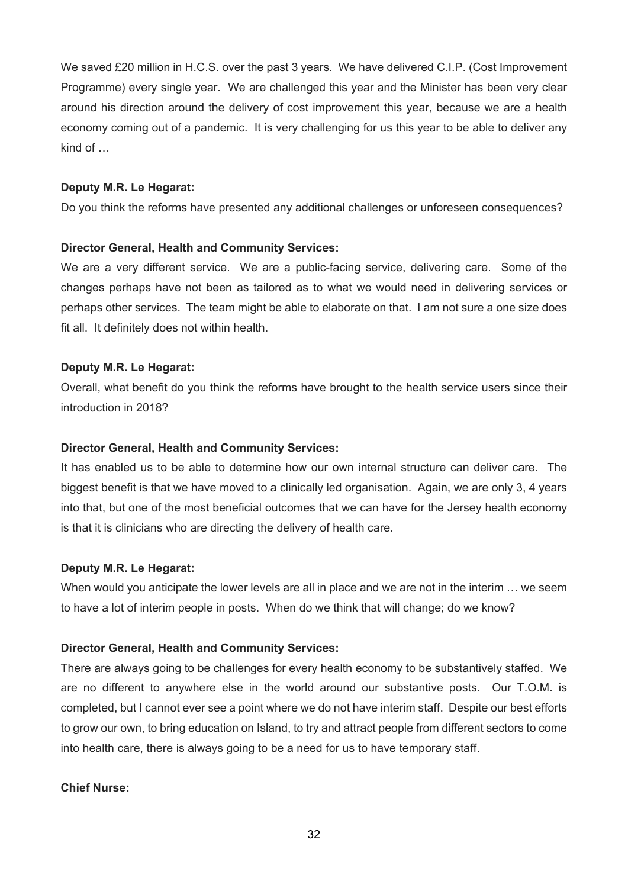We saved £20 million in H.C.S. over the past 3 years. We have delivered C.I.P. (Cost Improvement Programme) every single year. We are challenged this year and the Minister has been very clear around his direction around the delivery of cost improvement this year, because we are a health economy coming out of a pandemic. It is very challenging for us this year to be able to deliver any kind of …

## **Deputy M.R. Le Hegarat:**

Do you think the reforms have presented any additional challenges or unforeseen consequences?

## **Director General, Health and Community Services:**

We are a very different service. We are a public-facing service, delivering care. Some of the changes perhaps have not been as tailored as to what we would need in delivering services or perhaps other services. The team might be able to elaborate on that. I am not sure a one size does fit all. It definitely does not within health.

## **Deputy M.R. Le Hegarat:**

Overall, what benefit do you think the reforms have brought to the health service users since their introduction in 2018?

## **Director General, Health and Community Services:**

It has enabled us to be able to determine how our own internal structure can deliver care. The biggest benefit is that we have moved to a clinically led organisation. Again, we are only 3, 4 years into that, but one of the most beneficial outcomes that we can have for the Jersey health economy is that it is clinicians who are directing the delivery of health care.

# **Deputy M.R. Le Hegarat:**

When would you anticipate the lower levels are all in place and we are not in the interim … we seem to have a lot of interim people in posts. When do we think that will change; do we know?

#### **Director General, Health and Community Services:**

There are always going to be challenges for every health economy to be substantively staffed. We are no different to anywhere else in the world around our substantive posts. Our T.O.M. is completed, but I cannot ever see a point where we do not have interim staff. Despite our best efforts to grow our own, to bring education on Island, to try and attract people from different sectors to come into health care, there is always going to be a need for us to have temporary staff.

# **Chief Nurse:**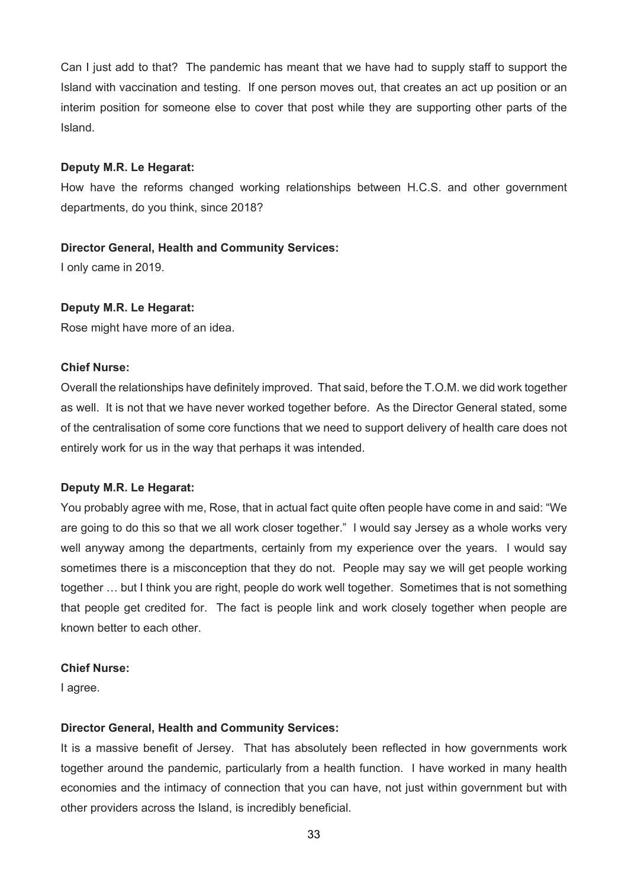Can I just add to that? The pandemic has meant that we have had to supply staff to support the Island with vaccination and testing. If one person moves out, that creates an act up position or an interim position for someone else to cover that post while they are supporting other parts of the Island.

### **Deputy M.R. Le Hegarat:**

How have the reforms changed working relationships between H.C.S. and other government departments, do you think, since 2018?

#### **Director General, Health and Community Services:**

I only came in 2019.

#### **Deputy M.R. Le Hegarat:**

Rose might have more of an idea.

# **Chief Nurse:**

Overall the relationships have definitely improved. That said, before the T.O.M. we did work together as well. It is not that we have never worked together before. As the Director General stated, some of the centralisation of some core functions that we need to support delivery of health care does not entirely work for us in the way that perhaps it was intended.

#### **Deputy M.R. Le Hegarat:**

You probably agree with me, Rose, that in actual fact quite often people have come in and said: "We are going to do this so that we all work closer together." I would say Jersey as a whole works very well anyway among the departments, certainly from my experience over the years. I would say sometimes there is a misconception that they do not. People may say we will get people working together … but I think you are right, people do work well together. Sometimes that is not something that people get credited for. The fact is people link and work closely together when people are known better to each other.

### **Chief Nurse:**

I agree.

#### **Director General, Health and Community Services:**

It is a massive benefit of Jersey. That has absolutely been reflected in how governments work together around the pandemic, particularly from a health function. I have worked in many health economies and the intimacy of connection that you can have, not just within government but with other providers across the Island, is incredibly beneficial.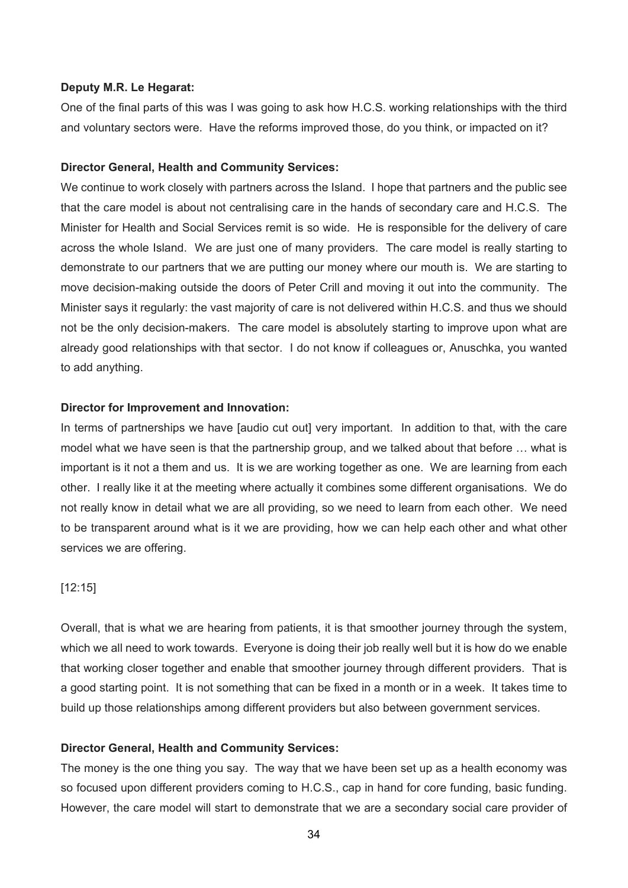#### **Deputy M.R. Le Hegarat:**

One of the final parts of this was I was going to ask how H.C.S. working relationships with the third and voluntary sectors were. Have the reforms improved those, do you think, or impacted on it?

#### **Director General, Health and Community Services:**

We continue to work closely with partners across the Island. I hope that partners and the public see that the care model is about not centralising care in the hands of secondary care and H.C.S. The Minister for Health and Social Services remit is so wide. He is responsible for the delivery of care across the whole Island. We are just one of many providers. The care model is really starting to demonstrate to our partners that we are putting our money where our mouth is. We are starting to move decision-making outside the doors of Peter Crill and moving it out into the community. The Minister says it regularly: the vast majority of care is not delivered within H.C.S. and thus we should not be the only decision-makers. The care model is absolutely starting to improve upon what are already good relationships with that sector. I do not know if colleagues or, Anuschka, you wanted to add anything.

#### **Director for Improvement and Innovation:**

In terms of partnerships we have [audio cut out] very important. In addition to that, with the care model what we have seen is that the partnership group, and we talked about that before … what is important is it not a them and us. It is we are working together as one. We are learning from each other. I really like it at the meeting where actually it combines some different organisations. We do not really know in detail what we are all providing, so we need to learn from each other. We need to be transparent around what is it we are providing, how we can help each other and what other services we are offering.

#### [12:15]

Overall, that is what we are hearing from patients, it is that smoother journey through the system, which we all need to work towards. Everyone is doing their job really well but it is how do we enable that working closer together and enable that smoother journey through different providers. That is a good starting point. It is not something that can be fixed in a month or in a week. It takes time to build up those relationships among different providers but also between government services.

#### **Director General, Health and Community Services:**

The money is the one thing you say. The way that we have been set up as a health economy was so focused upon different providers coming to H.C.S., cap in hand for core funding, basic funding. However, the care model will start to demonstrate that we are a secondary social care provider of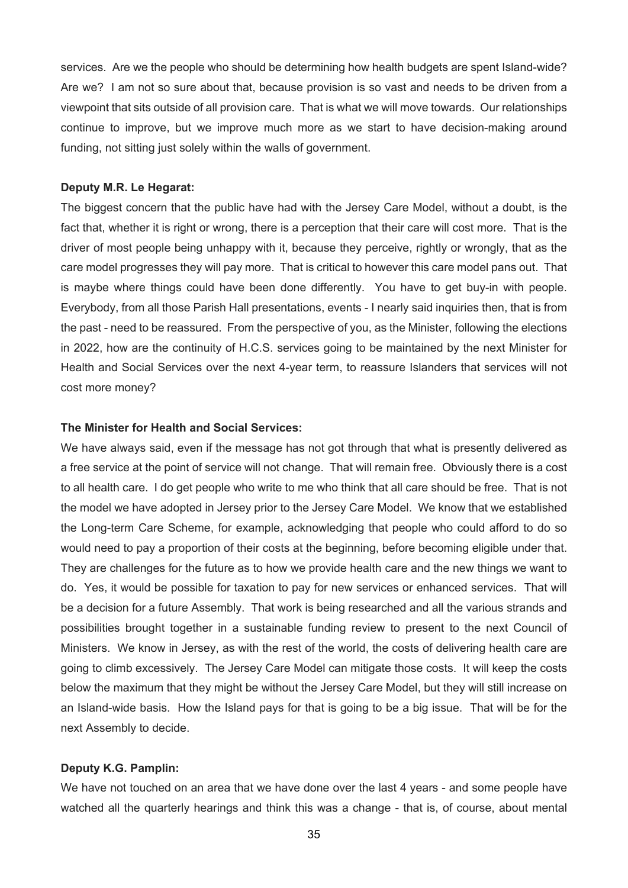services. Are we the people who should be determining how health budgets are spent Island-wide? Are we? I am not so sure about that, because provision is so vast and needs to be driven from a viewpoint that sits outside of all provision care. That is what we will move towards. Our relationships continue to improve, but we improve much more as we start to have decision-making around funding, not sitting just solely within the walls of government.

#### **Deputy M.R. Le Hegarat:**

The biggest concern that the public have had with the Jersey Care Model, without a doubt, is the fact that, whether it is right or wrong, there is a perception that their care will cost more. That is the driver of most people being unhappy with it, because they perceive, rightly or wrongly, that as the care model progresses they will pay more. That is critical to however this care model pans out. That is maybe where things could have been done differently. You have to get buy-in with people. Everybody, from all those Parish Hall presentations, events - I nearly said inquiries then, that is from the past - need to be reassured. From the perspective of you, as the Minister, following the elections in 2022, how are the continuity of H.C.S. services going to be maintained by the next Minister for Health and Social Services over the next 4-year term, to reassure Islanders that services will not cost more money?

#### **The Minister for Health and Social Services:**

We have always said, even if the message has not got through that what is presently delivered as a free service at the point of service will not change. That will remain free. Obviously there is a cost to all health care. I do get people who write to me who think that all care should be free. That is not the model we have adopted in Jersey prior to the Jersey Care Model. We know that we established the Long-term Care Scheme, for example, acknowledging that people who could afford to do so would need to pay a proportion of their costs at the beginning, before becoming eligible under that. They are challenges for the future as to how we provide health care and the new things we want to do. Yes, it would be possible for taxation to pay for new services or enhanced services. That will be a decision for a future Assembly. That work is being researched and all the various strands and possibilities brought together in a sustainable funding review to present to the next Council of Ministers. We know in Jersey, as with the rest of the world, the costs of delivering health care are going to climb excessively. The Jersey Care Model can mitigate those costs. It will keep the costs below the maximum that they might be without the Jersey Care Model, but they will still increase on an Island-wide basis. How the Island pays for that is going to be a big issue. That will be for the next Assembly to decide.

#### **Deputy K.G. Pamplin:**

We have not touched on an area that we have done over the last 4 years - and some people have watched all the quarterly hearings and think this was a change - that is, of course, about mental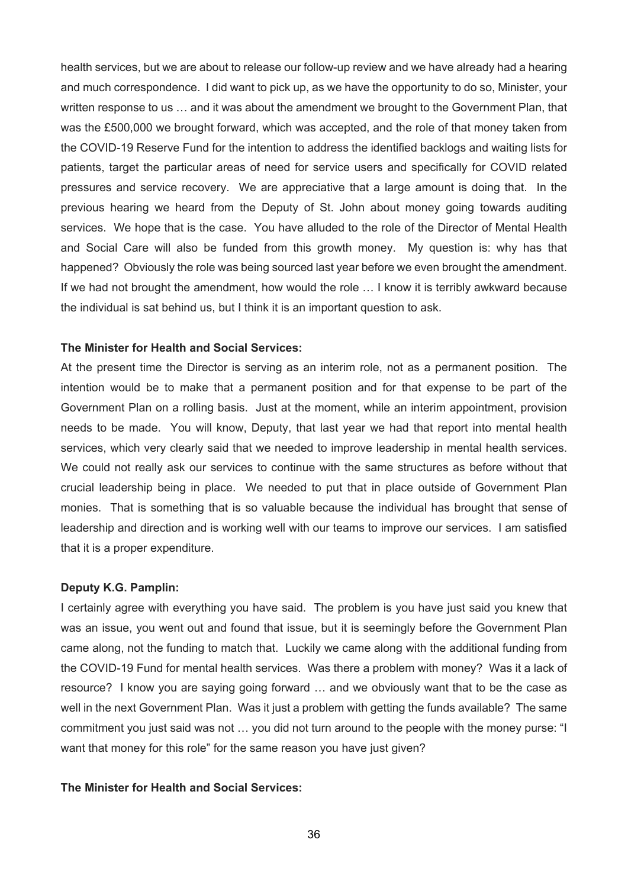health services, but we are about to release our follow-up review and we have already had a hearing and much correspondence. I did want to pick up, as we have the opportunity to do so, Minister, your written response to us … and it was about the amendment we brought to the Government Plan, that was the £500,000 we brought forward, which was accepted, and the role of that money taken from the COVID-19 Reserve Fund for the intention to address the identified backlogs and waiting lists for patients, target the particular areas of need for service users and specifically for COVID related pressures and service recovery. We are appreciative that a large amount is doing that. In the previous hearing we heard from the Deputy of St. John about money going towards auditing services. We hope that is the case. You have alluded to the role of the Director of Mental Health and Social Care will also be funded from this growth money. My question is: why has that happened? Obviously the role was being sourced last year before we even brought the amendment. If we had not brought the amendment, how would the role … I know it is terribly awkward because the individual is sat behind us, but I think it is an important question to ask.

#### **The Minister for Health and Social Services:**

At the present time the Director is serving as an interim role, not as a permanent position. The intention would be to make that a permanent position and for that expense to be part of the Government Plan on a rolling basis. Just at the moment, while an interim appointment, provision needs to be made. You will know, Deputy, that last year we had that report into mental health services, which very clearly said that we needed to improve leadership in mental health services. We could not really ask our services to continue with the same structures as before without that crucial leadership being in place. We needed to put that in place outside of Government Plan monies. That is something that is so valuable because the individual has brought that sense of leadership and direction and is working well with our teams to improve our services. I am satisfied that it is a proper expenditure.

#### **Deputy K.G. Pamplin:**

I certainly agree with everything you have said. The problem is you have just said you knew that was an issue, you went out and found that issue, but it is seemingly before the Government Plan came along, not the funding to match that. Luckily we came along with the additional funding from the COVID-19 Fund for mental health services. Was there a problem with money? Was it a lack of resource? I know you are saying going forward … and we obviously want that to be the case as well in the next Government Plan. Was it just a problem with getting the funds available? The same commitment you just said was not … you did not turn around to the people with the money purse: "I want that money for this role" for the same reason you have just given?

### **The Minister for Health and Social Services:**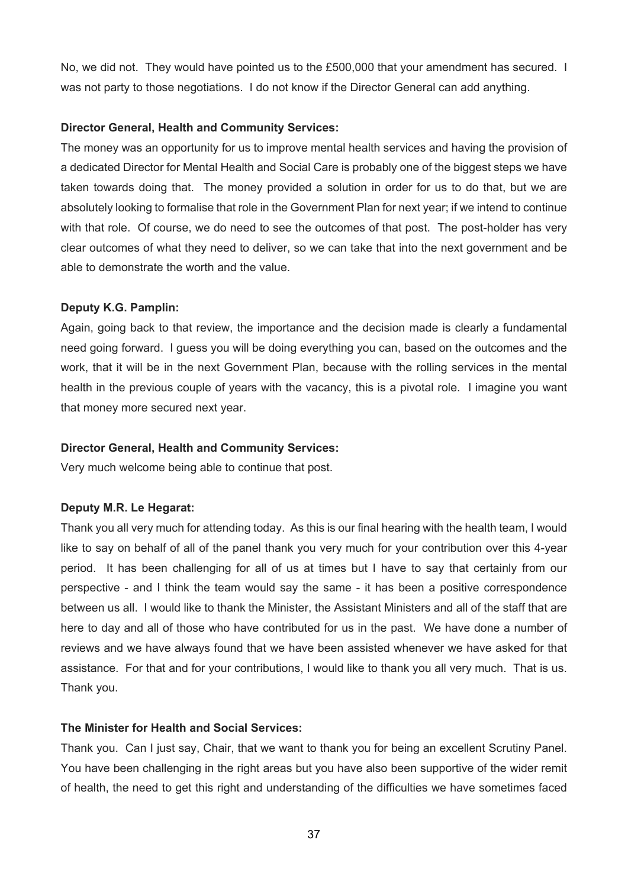No, we did not. They would have pointed us to the £500,000 that your amendment has secured. I was not party to those negotiations. I do not know if the Director General can add anything.

## **Director General, Health and Community Services:**

The money was an opportunity for us to improve mental health services and having the provision of a dedicated Director for Mental Health and Social Care is probably one of the biggest steps we have taken towards doing that. The money provided a solution in order for us to do that, but we are absolutely looking to formalise that role in the Government Plan for next year; if we intend to continue with that role. Of course, we do need to see the outcomes of that post. The post-holder has very clear outcomes of what they need to deliver, so we can take that into the next government and be able to demonstrate the worth and the value.

# **Deputy K.G. Pamplin:**

Again, going back to that review, the importance and the decision made is clearly a fundamental need going forward. I guess you will be doing everything you can, based on the outcomes and the work, that it will be in the next Government Plan, because with the rolling services in the mental health in the previous couple of years with the vacancy, this is a pivotal role. I imagine you want that money more secured next year.

# **Director General, Health and Community Services:**

Very much welcome being able to continue that post.

# **Deputy M.R. Le Hegarat:**

Thank you all very much for attending today. As this is our final hearing with the health team, I would like to say on behalf of all of the panel thank you very much for your contribution over this 4-year period. It has been challenging for all of us at times but I have to say that certainly from our perspective - and I think the team would say the same - it has been a positive correspondence between us all. I would like to thank the Minister, the Assistant Ministers and all of the staff that are here to day and all of those who have contributed for us in the past. We have done a number of reviews and we have always found that we have been assisted whenever we have asked for that assistance. For that and for your contributions, I would like to thank you all very much. That is us. Thank you.

# **The Minister for Health and Social Services:**

Thank you. Can I just say, Chair, that we want to thank you for being an excellent Scrutiny Panel. You have been challenging in the right areas but you have also been supportive of the wider remit of health, the need to get this right and understanding of the difficulties we have sometimes faced